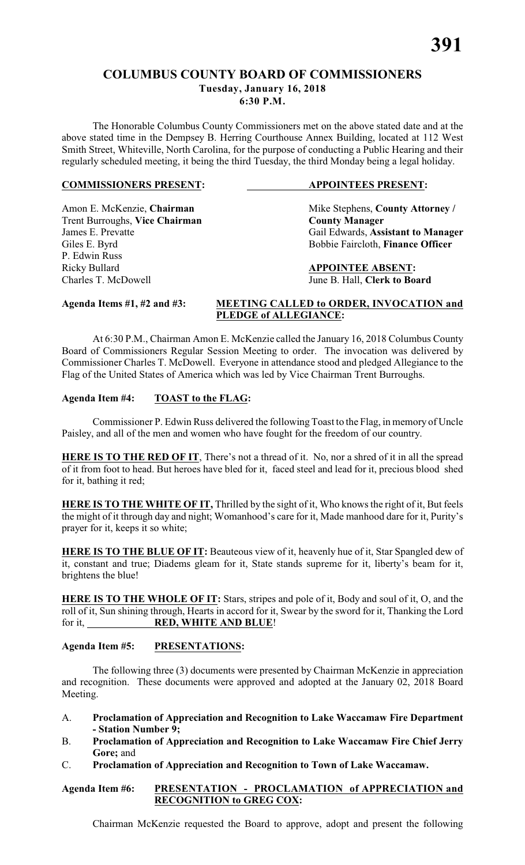# **COLUMBUS COUNTY BOARD OF COMMISSIONERS Tuesday, January 16, 2018**

**6:30 P.M.**

The Honorable Columbus County Commissioners met on the above stated date and at the above stated time in the Dempsey B. Herring Courthouse Annex Building, located at 112 West Smith Street, Whiteville, North Carolina, for the purpose of conducting a Public Hearing and their regularly scheduled meeting, it being the third Tuesday, the third Monday being a legal holiday.

## **COMMISSIONERS PRESENT: APPOINTEES PRESENT:**

Amon E. McKenzie, **Chairman** Mike Stephens, **County Attorney** / **Trent Burroughs, Vice Chairman County Manager Trent Burroughs, Vice Chairman**<br>James E. Prevatte Giles E. Byrd Bobbie Faircloth, **Finance Officer** Ricky Bullard **APPOINTEE ABSENT:**

Gail Edwards, **Assistant to Manager** 

Charles T. McDowell June B. Hall, **Clerk to Board**

P. Edwin Russ

# **Agenda Items #1, #2 and #3: MEETING CALLED to ORDER, INVOCATION and PLEDGE of ALLEGIANCE:**

At 6:30 P.M., Chairman Amon E. McKenzie called the January 16, 2018 Columbus County Board of Commissioners Regular Session Meeting to order. The invocation was delivered by Commissioner Charles T. McDowell. Everyone in attendance stood and pledged Allegiance to the Flag of the United States of America which was led by Vice Chairman Trent Burroughs.

# **Agenda Item #4: TOAST to the FLAG:**

Commissioner P. Edwin Russ delivered the following Toast to the Flag, in memory of Uncle Paisley, and all of the men and women who have fought for the freedom of our country.

**HERE IS TO THE RED OF IT**, There's not a thread of it. No, nor a shred of it in all the spread of it from foot to head. But heroes have bled for it, faced steel and lead for it, precious blood shed for it, bathing it red;

**HERE IS TO THE WHITE OF IT, Thrilled by the sight of it, Who knows the right of it, But feels** the might of it through day and night; Womanhood's care for it, Made manhood dare for it, Purity's prayer for it, keeps it so white;

**HERE IS TO THE BLUE OF IT:** Beauteous view of it, heavenly hue of it, Star Spangled dew of it, constant and true; Diadems gleam for it, State stands supreme for it, liberty's beam for it, brightens the blue!

**HERE IS TO THE WHOLE OF IT:** Stars, stripes and pole of it, Body and soul of it, O, and the roll of it, Sun shining through, Hearts in accord for it, Swear by the sword for it, Thanking the Lord for it, **RED, WHITE AND BLUE**!

# **Agenda Item #5: PRESENTATIONS:**

The following three (3) documents were presented by Chairman McKenzie in appreciation and recognition. These documents were approved and adopted at the January 02, 2018 Board Meeting.

- A. **Proclamation of Appreciation and Recognition to Lake Waccamaw Fire Department - Station Number 9;**
- B. **Proclamation of Appreciation and Recognition to Lake Waccamaw Fire Chief Jerry Gore;** and
- C. **Proclamation of Appreciation and Recognition to Town of Lake Waccamaw.**

# **Agenda Item #6: PRESENTATION - PROCLAMATION of APPRECIATION and RECOGNITION to GREG COX:**

Chairman McKenzie requested the Board to approve, adopt and present the following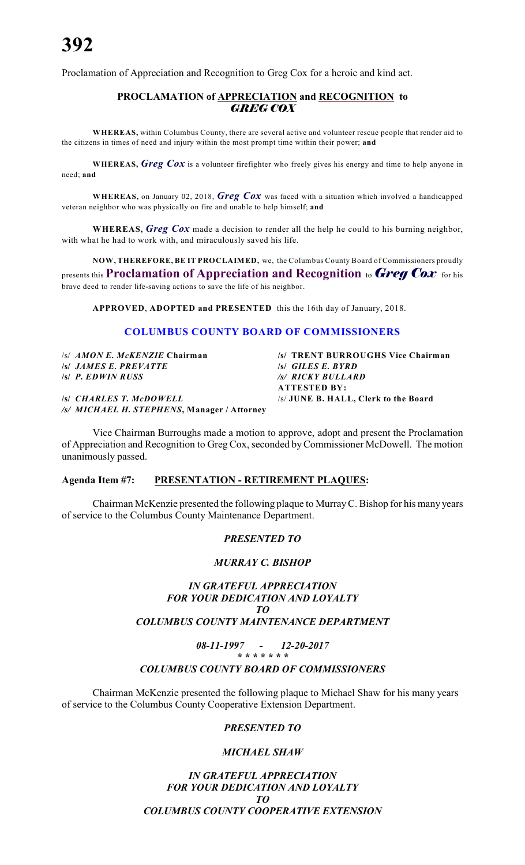Proclamation of Appreciation and Recognition to Greg Cox for a heroic and kind act.

# **PROCLAMATION of APPRECIATION and RECOGNITION to** *GREG COX*

**WHEREAS,** within Columbus County, there are several active and volunteer rescue people that render aid to the citizens in times of need and injury within the most prompt time within their power; **and**

**WHEREAS,** *Greg Cox* is a volunteer firefighter who freely gives his energy and time to help anyone in need; **and**

**WHEREAS,** on January 02, 2018, *Greg Cox* was faced with a situation which involved a handicapped veteran neighbor who was physically on fire and unable to help himself; **and**

**WHEREAS,** *Greg Cox* made a decision to render all the help he could to his burning neighbor, with what he had to work with, and miraculously saved his life.

**NOW, THEREFORE, BE IT PROCLAIMED,** we, the Columbus County Board of Commissioners proudly presents this **Proclamation of Appreciation and Recognition** to *Greg Cox* for his brave deed to render life-saving actions to save the life of his neighbor.

**APPROVED**, **ADOPTED and PRESENTED** this the 16th day of January, 2018.

## **COLUMBUS COUNTY BOARD OF COMMISSIONERS**

/s/ *AMON E. McKENZIE* **Chairman /s/ TRENT BURROUGHS Vice Chairman /s/** *JAMES E. PREVATTE* **/s/** *GILES E. BYRD* **/s/** *P. EDWIN RUSS /s/ RICKY BULLARD*

**/s/** *CHARLES T. McDOWELL* /s/ **JUNE B. HALL, Clerk to the Board** */s/ MICHAEL H. STEPHENS***, Manager / Attorney**

Vice Chairman Burroughs made a motion to approve, adopt and present the Proclamation of Appreciation and Recognition to Greg Cox, seconded by Commissioner McDowell. The motion unanimously passed.

### **Agenda Item #7: PRESENTATION - RETIREMENT PLAQUES:**

Chairman McKenzie presented the following plaque to MurrayC. Bishop for his many years of service to the Columbus County Maintenance Department.

#### *PRESENTED TO*

#### *MURRAY C. BISHOP*

### *IN GRATEFUL APPRECIATION FOR YOUR DEDICATION AND LOYALTY TO COLUMBUS COUNTY MAINTENANCE DEPARTMENT*

*08-11-1997 - 12-20-2017*

#### *\* \* \* \* \* \* \* COLUMBUS COUNTY BOARD OF COMMISSIONERS*

Chairman McKenzie presented the following plaque to Michael Shaw for his many years of service to the Columbus County Cooperative Extension Department.

#### *PRESENTED TO*

#### *MICHAEL SHAW*

*IN GRATEFUL APPRECIATION FOR YOUR DEDICATION AND LOYALTY TO COLUMBUS COUNTY COOPERATIVE EXTENSION*

**ATTESTED BY:**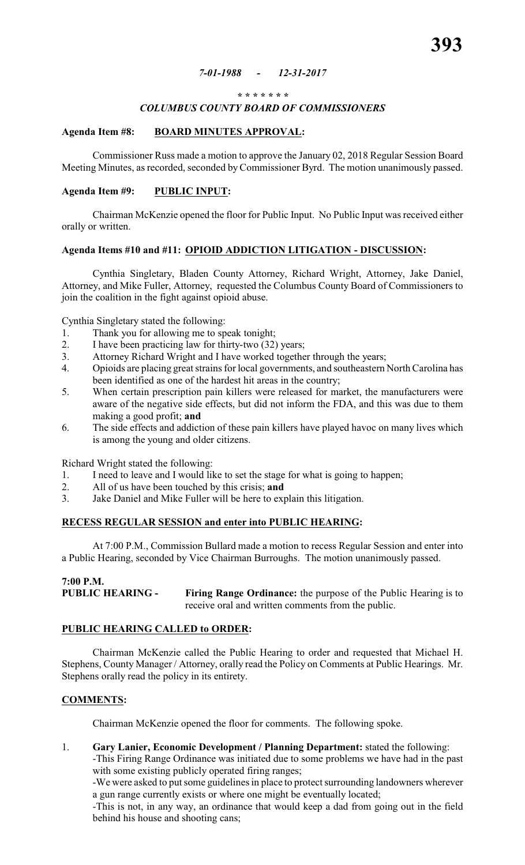#### *7-01-1988 - 12-31-2017*

#### *\* \* \* \* \* \* \**

# *COLUMBUS COUNTY BOARD OF COMMISSIONERS*

#### **Agenda Item #8: BOARD MINUTES APPROVAL:**

Commissioner Russ made a motion to approve the January 02, 2018 Regular Session Board Meeting Minutes, as recorded, seconded by Commissioner Byrd. The motion unanimously passed.

#### **Agenda Item #9: PUBLIC INPUT:**

Chairman McKenzie opened the floor for Public Input. No Public Input was received either orally or written.

#### **Agenda Items #10 and #11: OPIOID ADDICTION LITIGATION - DISCUSSION:**

Cynthia Singletary, Bladen County Attorney, Richard Wright, Attorney, Jake Daniel, Attorney, and Mike Fuller, Attorney, requested the Columbus County Board of Commissioners to join the coalition in the fight against opioid abuse.

Cynthia Singletary stated the following:

- 1. Thank you for allowing me to speak tonight;
- 2. I have been practicing law for thirty-two (32) years;
- 3. Attorney Richard Wright and I have worked together through the years;
- 4. Opioids are placing great strains for local governments, and southeastern North Carolina has been identified as one of the hardest hit areas in the country;
- 5. When certain prescription pain killers were released for market, the manufacturers were aware of the negative side effects, but did not inform the FDA, and this was due to them making a good profit; **and**
- 6. The side effects and addiction of these pain killers have played havoc on many lives which is among the young and older citizens.

Richard Wright stated the following:

- 1. I need to leave and I would like to set the stage for what is going to happen;
- 2. All of us have been touched by this crisis; **and**
- 3. Jake Daniel and Mike Fuller will be here to explain this litigation.

#### **RECESS REGULAR SESSION and enter into PUBLIC HEARING:**

At 7:00 P.M., Commission Bullard made a motion to recess Regular Session and enter into a Public Hearing, seconded by Vice Chairman Burroughs. The motion unanimously passed.

### **7:00 P.M. PUBLIC HEARING - Firing Range Ordinance:** the purpose of the Public Hearing is to receive oral and written comments from the public.

# **PUBLIC HEARING CALLED to ORDER:**

Chairman McKenzie called the Public Hearing to order and requested that Michael H. Stephens, County Manager / Attorney, orally read the Policy on Comments at Public Hearings. Mr. Stephens orally read the policy in its entirety.

#### **COMMENTS:**

Chairman McKenzie opened the floor for comments. The following spoke.

1. **Gary Lanier, Economic Development / Planning Department:** stated the following:

-This Firing Range Ordinance was initiated due to some problems we have had in the past with some existing publicly operated firing ranges;

-We were asked to put some guidelines in place to protect surrounding landowners wherever a gun range currently exists or where one might be eventually located;

-This is not, in any way, an ordinance that would keep a dad from going out in the field behind his house and shooting cans;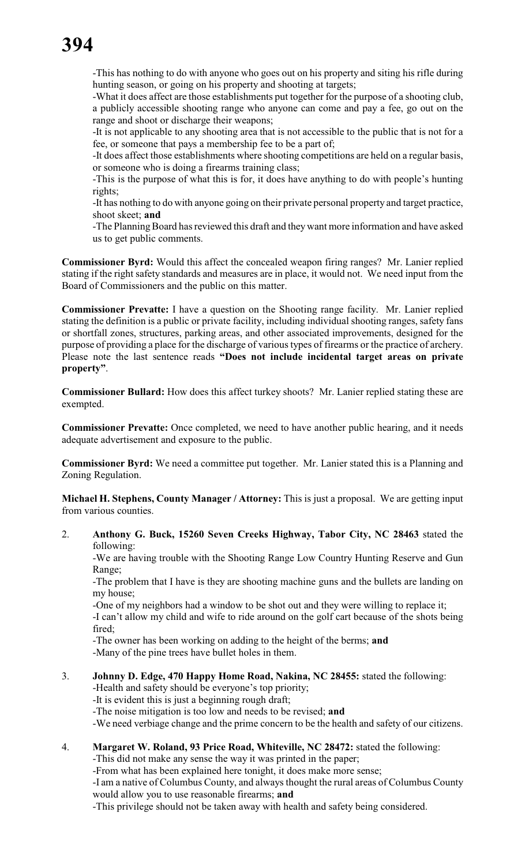-This has nothing to do with anyone who goes out on his property and siting his rifle during hunting season, or going on his property and shooting at targets;

-What it does affect are those establishments put together for the purpose of a shooting club, a publicly accessible shooting range who anyone can come and pay a fee, go out on the range and shoot or discharge their weapons;

-It is not applicable to any shooting area that is not accessible to the public that is not for a fee, or someone that pays a membership fee to be a part of;

-It does affect those establishments where shooting competitions are held on a regular basis, or someone who is doing a firearms training class;

-This is the purpose of what this is for, it does have anything to do with people's hunting rights;

-It has nothing to do with anyone going on their private personal property and target practice, shoot skeet; **and**

-The Planning Board has reviewed this draft and they want more information and have asked us to get public comments.

**Commissioner Byrd:** Would this affect the concealed weapon firing ranges? Mr. Lanier replied stating if the right safety standards and measures are in place, it would not. We need input from the Board of Commissioners and the public on this matter.

**Commissioner Prevatte:** I have a question on the Shooting range facility. Mr. Lanier replied stating the definition is a public or private facility, including individual shooting ranges, safety fans or shortfall zones, structures, parking areas, and other associated improvements, designed for the purpose of providing a place for the discharge of various types of firearms or the practice of archery. Please note the last sentence reads **"Does not include incidental target areas on private property"**.

**Commissioner Bullard:** How does this affect turkey shoots? Mr. Lanier replied stating these are exempted.

**Commissioner Prevatte:** Once completed, we need to have another public hearing, and it needs adequate advertisement and exposure to the public.

**Commissioner Byrd:** We need a committee put together. Mr. Lanier stated this is a Planning and Zoning Regulation.

**Michael H. Stephens, County Manager / Attorney:** This is just a proposal. We are getting input from various counties.

2. **Anthony G. Buck, 15260 Seven Creeks Highway, Tabor City, NC 28463** stated the following:

-We are having trouble with the Shooting Range Low Country Hunting Reserve and Gun Range;

-The problem that I have is they are shooting machine guns and the bullets are landing on my house;

-One of my neighbors had a window to be shot out and they were willing to replace it;

-I can't allow my child and wife to ride around on the golf cart because of the shots being fired;

-The owner has been working on adding to the height of the berms; **and**

-Many of the pine trees have bullet holes in them.

# 3. **Johnny D. Edge, 470 Happy Home Road, Nakina, NC 28455:** stated the following:

-Health and safety should be everyone's top priority;

-It is evident this is just a beginning rough draft;

-The noise mitigation is too low and needs to be revised; **and**

-We need verbiage change and the prime concern to be the health and safety of our citizens.

# 4. **Margaret W. Roland, 93 Price Road, Whiteville, NC 28472:** stated the following:

-This did not make any sense the way it was printed in the paper;

-From what has been explained here tonight, it does make more sense;

-I am a native of Columbus County, and always thought the rural areas of Columbus County would allow you to use reasonable firearms; **and**

-This privilege should not be taken away with health and safety being considered.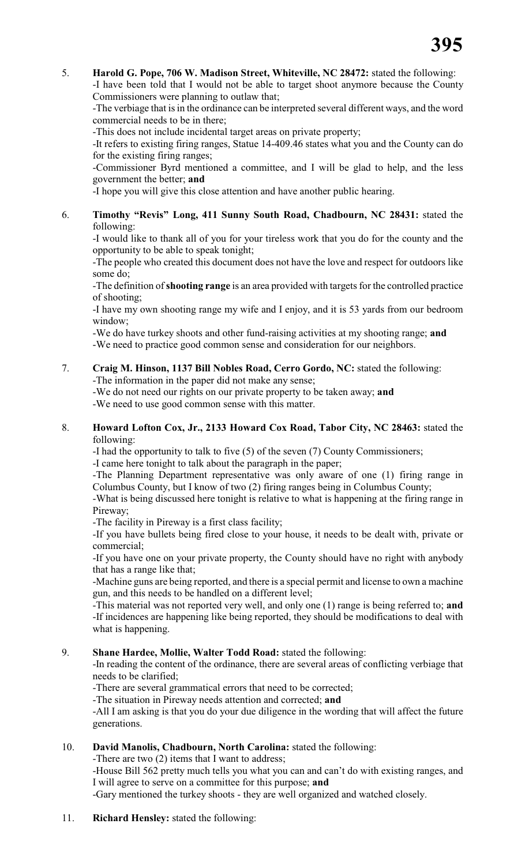## 5. **Harold G. Pope, 706 W. Madison Street, Whiteville, NC 28472:** stated the following:

-I have been told that I would not be able to target shoot anymore because the County Commissioners were planning to outlaw that;

-The verbiage that is in the ordinance can be interpreted several different ways, and the word commercial needs to be in there;

-This does not include incidental target areas on private property;

-It refers to existing firing ranges, Statue 14-409.46 states what you and the County can do for the existing firing ranges;

-Commissioner Byrd mentioned a committee, and I will be glad to help, and the less government the better; **and**

-I hope you will give this close attention and have another public hearing.

6. **Timothy "Revis" Long, 411 Sunny South Road, Chadbourn, NC 28431:** stated the following:

-I would like to thank all of you for your tireless work that you do for the county and the opportunity to be able to speak tonight;

-The people who created this document does not have the love and respect for outdoors like some do;

-The definition of **shooting range** is an area provided with targets for the controlled practice of shooting;

-I have my own shooting range my wife and I enjoy, and it is 53 yards from our bedroom window;

-We do have turkey shoots and other fund-raising activities at my shooting range; **and** -We need to practice good common sense and consideration for our neighbors.

7. **Craig M. Hinson, 1137 Bill Nobles Road, Cerro Gordo, NC:** stated the following: -The information in the paper did not make any sense;

-We do not need our rights on our private property to be taken away; **and**

-We need to use good common sense with this matter.

### 8. **Howard Lofton Cox, Jr., 2133 Howard Cox Road, Tabor City, NC 28463:** stated the following:

-I had the opportunity to talk to five (5) of the seven (7) County Commissioners;

-I came here tonight to talk about the paragraph in the paper;

-The Planning Department representative was only aware of one (1) firing range in Columbus County, but I know of two (2) firing ranges being in Columbus County;

-What is being discussed here tonight is relative to what is happening at the firing range in Pireway;

-The facility in Pireway is a first class facility;

-If you have bullets being fired close to your house, it needs to be dealt with, private or commercial;

-If you have one on your private property, the County should have no right with anybody that has a range like that;

-Machine guns are being reported, and there is a special permit and license to own a machine gun, and this needs to be handled on a different level;

-This material was not reported very well, and only one (1) range is being referred to; **and** -If incidences are happening like being reported, they should be modifications to deal with what is happening.

# 9. **Shane Hardee, Mollie, Walter Todd Road:** stated the following:

-In reading the content of the ordinance, there are several areas of conflicting verbiage that needs to be clarified;

-There are several grammatical errors that need to be corrected;

-The situation in Pireway needs attention and corrected; **and**

-All I am asking is that you do your due diligence in the wording that will affect the future generations.

10. **David Manolis, Chadbourn, North Carolina:** stated the following:

-There are two (2) items that I want to address;

-House Bill 562 pretty much tells you what you can and can't do with existing ranges, and I will agree to serve on a committee for this purpose; **and**

-Gary mentioned the turkey shoots - they are well organized and watched closely.

11. **Richard Hensley:** stated the following: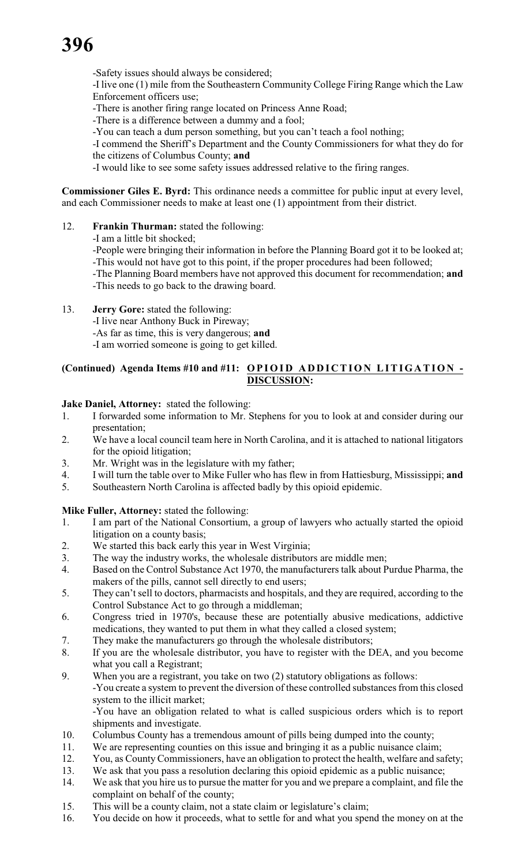-Safety issues should always be considered;

-I live one (1) mile from the Southeastern Community College Firing Range which the Law Enforcement officers use;

-There is another firing range located on Princess Anne Road;

-There is a difference between a dummy and a fool;

-You can teach a dum person something, but you can't teach a fool nothing;

-I commend the Sheriff's Department and the County Commissioners for what they do for the citizens of Columbus County; **and**

-I would like to see some safety issues addressed relative to the firing ranges.

**Commissioner Giles E. Byrd:** This ordinance needs a committee for public input at every level, and each Commissioner needs to make at least one (1) appointment from their district.

# 12. **Frankin Thurman:** stated the following:

-I am a little bit shocked;

-People were bringing their information in before the Planning Board got it to be looked at; -This would not have got to this point, if the proper procedures had been followed;

-The Planning Board members have not approved this document for recommendation; **and** -This needs to go back to the drawing board.

13. **Jerry Gore:** stated the following: -I live near Anthony Buck in Pireway; -As far as time, this is very dangerous; **and** -I am worried someone is going to get killed.

# **(Continued) Agenda Items #10 and #11: OPI O I D A D D I C TION LITIGA TION - DISCUSSION:**

**Jake Daniel, Attorney:** stated the following:

- 1. I forwarded some information to Mr. Stephens for you to look at and consider during our presentation;
- 2. We have a local council team here in North Carolina, and it is attached to national litigators for the opioid litigation;
- 3. Mr. Wright was in the legislature with my father;
- 4. I will turn the table over to Mike Fuller who has flew in from Hattiesburg, Mississippi; **and**
- 5. Southeastern North Carolina is affected badly by this opioid epidemic.

# **Mike Fuller, Attorney:** stated the following:

- 1. I am part of the National Consortium, a group of lawyers who actually started the opioid litigation on a county basis;
- 2. We started this back early this year in West Virginia;
- 3. The way the industry works, the wholesale distributors are middle men;
- 4. Based on the Control Substance Act 1970, the manufacturers talk about Purdue Pharma, the makers of the pills, cannot sell directly to end users;
- 5. They can't sell to doctors, pharmacists and hospitals, and they are required, according to the Control Substance Act to go through a middleman;
- 6. Congress tried in 1970's, because these are potentially abusive medications, addictive medications, they wanted to put them in what they called a closed system;
- 7. They make the manufacturers go through the wholesale distributors;
- 8. If you are the wholesale distributor, you have to register with the DEA, and you become what you call a Registrant;
- 9. When you are a registrant, you take on two (2) statutory obligations as follows:

-You create a system to prevent the diversion of these controlled substances from this closed system to the illicit market;

-You have an obligation related to what is called suspicious orders which is to report shipments and investigate.

- 10. Columbus County has a tremendous amount of pills being dumped into the county;
- 11. We are representing counties on this issue and bringing it as a public nuisance claim;
- 12. You, as County Commissioners, have an obligation to protect the health, welfare and safety;
- 13. We ask that you pass a resolution declaring this opioid epidemic as a public nuisance;
- 14. We ask that you hire us to pursue the matter for you and we prepare a complaint, and file the complaint on behalf of the county;
- 15. This will be a county claim, not a state claim or legislature's claim;
- 16. You decide on how it proceeds, what to settle for and what you spend the money on at the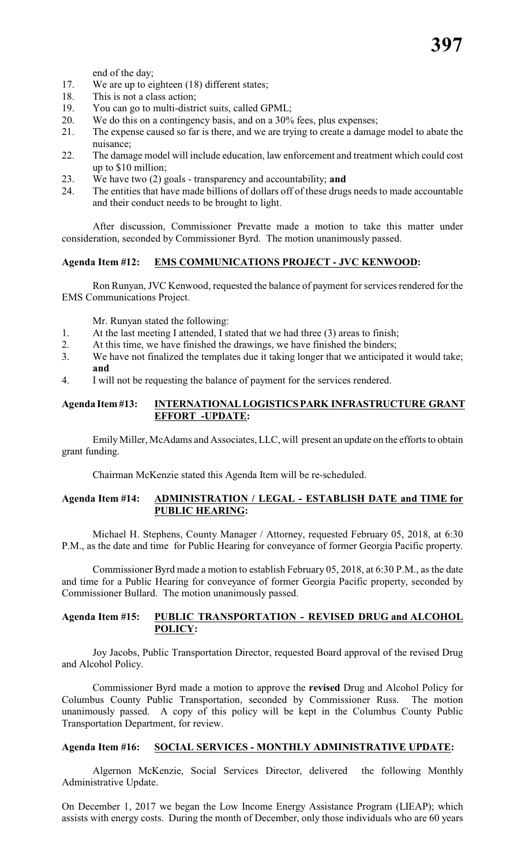end of the day;

- 17. We are up to eighteen (18) different states;
- 18. This is not a class action;<br>19. You can go to multi-distri
- You can go to multi-district suits, called GPML;
- 20. We do this on a contingency basis, and on a 30% fees, plus expenses;
- 21. The expense caused so far is there, and we are trying to create a damage model to abate the nuisance;
- 22. The damage model will include education, law enforcement and treatment which could cost up to \$10 million;
- 23. We have two (2) goals transparency and accountability; **and**
- 24. The entities that have made billions of dollars off of these drugs needs to made accountable and their conduct needs to be brought to light.

After discussion, Commissioner Prevatte made a motion to take this matter under consideration, seconded by Commissioner Byrd. The motion unanimously passed.

### **Agenda Item #12: EMS COMMUNICATIONS PROJECT - JVC KENWOOD:**

Ron Runyan, JVC Kenwood, requested the balance of payment for services rendered for the EMS Communications Project.

Mr. Runyan stated the following:

- 1. At the last meeting I attended, I stated that we had three (3) areas to finish;
- 2. At this time, we have finished the drawings, we have finished the binders;
- 3. We have not finalized the templates due it taking longer that we anticipated it would take; **and**
- 4. I will not be requesting the balance of payment for the services rendered.

### **Agenda Item #13: INTERNATIONAL LOGISTICS PARK INFRASTRUCTURE GRANT EFFORT -UPDATE:**

EmilyMiller, McAdams and Associates, LLC, will present an update on the efforts to obtain grant funding.

Chairman McKenzie stated this Agenda Item will be re-scheduled.

### **Agenda Item #14: ADMINISTRATION / LEGAL - ESTABLISH DATE and TIME for PUBLIC HEARING:**

Michael H. Stephens, County Manager / Attorney, requested February 05, 2018, at 6:30 P.M., as the date and time for Public Hearing for conveyance of former Georgia Pacific property.

Commissioner Byrd made a motion to establish February 05, 2018, at 6:30 P.M., as the date and time for a Public Hearing for conveyance of former Georgia Pacific property, seconded by Commissioner Bullard. The motion unanimously passed.

## **Agenda Item #15: PUBLIC TRANSPORTATION - REVISED DRUG and ALCOHOL POLICY:**

Joy Jacobs, Public Transportation Director, requested Board approval of the revised Drug and Alcohol Policy.

Commissioner Byrd made a motion to approve the **revised** Drug and Alcohol Policy for Columbus County Public Transportation, seconded by Commissioner Russ. The motion unanimously passed. A copy of this policy will be kept in the Columbus County Public Transportation Department, for review.

#### **Agenda Item #16: SOCIAL SERVICES - MONTHLY ADMINISTRATIVE UPDATE:**

Algernon McKenzie, Social Services Director, delivered the following Monthly Administrative Update.

On December 1, 2017 we began the Low Income Energy Assistance Program (LIEAP); which assists with energy costs. During the month of December, only those individuals who are 60 years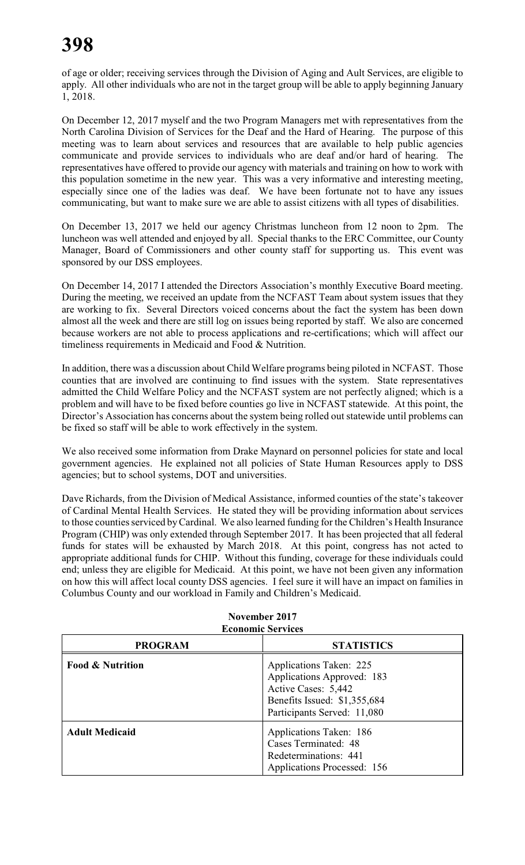of age or older; receiving services through the Division of Aging and Ault Services, are eligible to apply. All other individuals who are not in the target group will be able to apply beginning January 1, 2018.

On December 12, 2017 myself and the two Program Managers met with representatives from the North Carolina Division of Services for the Deaf and the Hard of Hearing. The purpose of this meeting was to learn about services and resources that are available to help public agencies communicate and provide services to individuals who are deaf and/or hard of hearing. The representatives have offered to provide our agency with materials and training on how to work with this population sometime in the new year. This was a very informative and interesting meeting, especially since one of the ladies was deaf. We have been fortunate not to have any issues communicating, but want to make sure we are able to assist citizens with all types of disabilities.

On December 13, 2017 we held our agency Christmas luncheon from 12 noon to 2pm. The luncheon was well attended and enjoyed by all. Special thanks to the ERC Committee, our County Manager, Board of Commissioners and other county staff for supporting us. This event was sponsored by our DSS employees.

On December 14, 2017 I attended the Directors Association's monthly Executive Board meeting. During the meeting, we received an update from the NCFAST Team about system issues that they are working to fix. Several Directors voiced concerns about the fact the system has been down almost all the week and there are still log on issues being reported by staff. We also are concerned because workers are not able to process applications and re-certifications; which will affect our timeliness requirements in Medicaid and Food & Nutrition.

In addition, there was a discussion about Child Welfare programs being piloted in NCFAST. Those counties that are involved are continuing to find issues with the system. State representatives admitted the Child Welfare Policy and the NCFAST system are not perfectly aligned; which is a problem and will have to be fixed before counties go live in NCFAST statewide. At this point, the Director's Association has concerns about the system being rolled out statewide until problems can be fixed so staff will be able to work effectively in the system.

We also received some information from Drake Maynard on personnel policies for state and local government agencies. He explained not all policies of State Human Resources apply to DSS agencies; but to school systems, DOT and universities.

Dave Richards, from the Division of Medical Assistance, informed counties of the state's takeover of Cardinal Mental Health Services. He stated they will be providing information about services to those counties serviced byCardinal. We also learned funding for the Children's Health Insurance Program (CHIP) was only extended through September 2017. It has been projected that all federal funds for states will be exhausted by March 2018. At this point, congress has not acted to appropriate additional funds for CHIP. Without this funding, coverage for these individuals could end; unless they are eligible for Medicaid. At this point, we have not been given any information on how this will affect local county DSS agencies. I feel sure it will have an impact on families in Columbus County and our workload in Family and Children's Medicaid.

| <b>PROGRAM</b>              | <b>STATISTICS</b>                                                                                                                           |
|-----------------------------|---------------------------------------------------------------------------------------------------------------------------------------------|
| <b>Food &amp; Nutrition</b> | Applications Taken: 225<br>Applications Approved: 183<br>Active Cases: 5,442<br>Benefits Issued: \$1,355,684<br>Participants Served: 11,080 |
| <b>Adult Medicaid</b>       | Applications Taken: 186<br>Cases Terminated: 48<br>Redeterminations: 441<br>Applications Processed: 156                                     |

### **November 2017 Economic Services**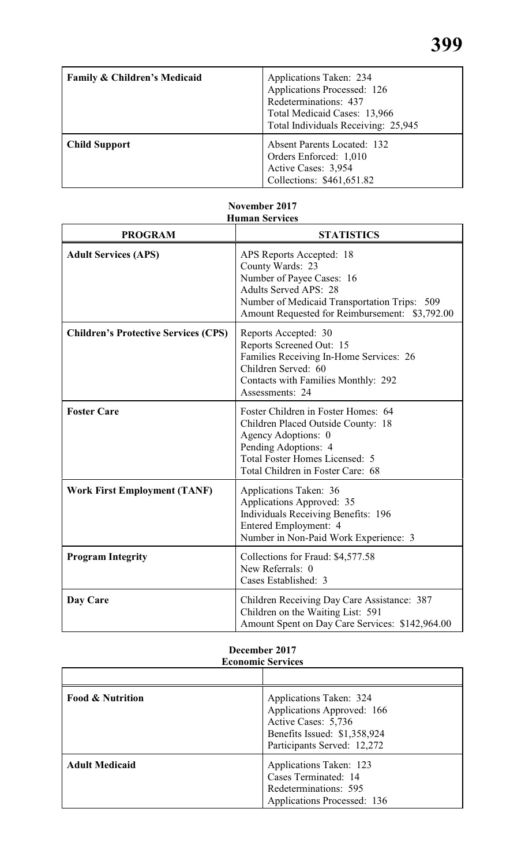| Family & Children's Medicaid | Applications Taken: 234<br>Applications Processed: 126<br>Redeterminations: 437<br>Total Medicaid Cases: 13,966<br>Total Individuals Receiving: 25,945 |
|------------------------------|--------------------------------------------------------------------------------------------------------------------------------------------------------|
| <b>Child Support</b>         | <b>Absent Parents Located: 132</b><br>Orders Enforced: 1,010<br>Active Cases: 3,954<br>Collections: \$461,651.82                                       |

# **Human Services PROGRAM STATISTICS** Adult Services (APS) APS Reports Accepted: 18 County Wards: 23 Number of Payee Cases: 16 Adults Served APS: 28 Number of Medicaid Transportation Trips: 509 Amount Requested for Reimbursement: \$3,792.00 **Children's Protective Services (CPS)** Reports Accepted: 30 Reports Screened Out: 15 Families Receiving In-Home Services: 26 Children Served: 60 Contacts with Families Monthly: 292 Assessments: 24 **Foster Care** Foster Children in Foster Homes: 64 Children Placed Outside County: 18 Agency Adoptions: 0 Pending Adoptions: 4 Total Foster Homes Licensed: 5 Total Children in Foster Care: 68 **Work First Employment (TANF)** Applications Taken: 36 Applications Approved: 35 Individuals Receiving Benefits: 196 Entered Employment: 4 Number in Non-Paid Work Experience: 3 **Program Integrity** Collections for Fraud: \$4,577.58 New Referrals: 0 Cases Established: 3 **Day Care** Children Receiving Day Care Assistance: 387 Children on the Waiting List: 591 Amount Spent on Day Care Services: \$142,964.00

# **November 2017**

# **December 2017 Economic Services**

| <b>Food &amp; Nutrition</b> | Applications Taken: 324<br>Applications Approved: 166<br>Active Cases: 5,736<br>Benefits Issued: \$1,358,924<br>Participants Served: 12,272 |
|-----------------------------|---------------------------------------------------------------------------------------------------------------------------------------------|
| <b>Adult Medicaid</b>       | Applications Taken: 123<br>Cases Terminated: 14<br>Redeterminations: 595<br><b>Applications Processed: 136</b>                              |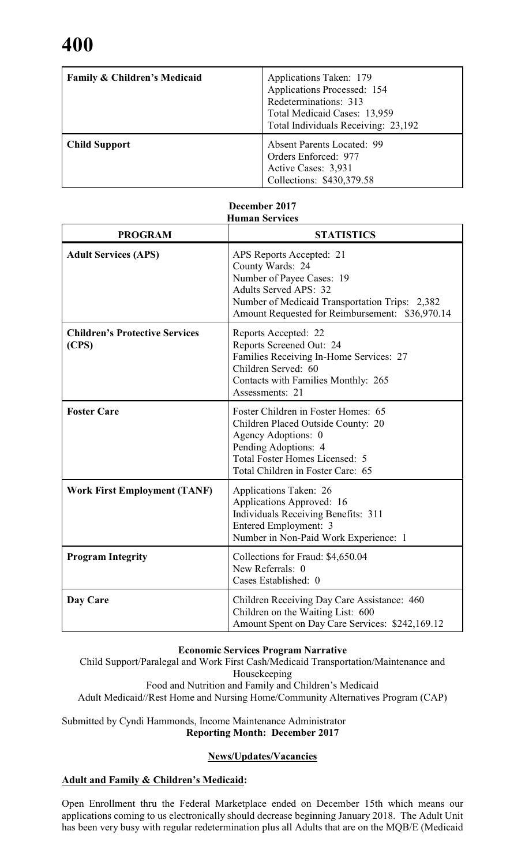| <b>Family &amp; Children's Medicaid</b> | Applications Taken: 179<br>Applications Processed: 154<br>Redeterminations: 313<br>Total Medicaid Cases: 13,959<br>Total Individuals Receiving: 23,192 |
|-----------------------------------------|--------------------------------------------------------------------------------------------------------------------------------------------------------|
| <b>Child Support</b>                    | <b>Absent Parents Located: 99</b><br>Orders Enforced: 977<br>Active Cases: 3,931<br>Collections: \$430,379.58                                          |

| <b>PROGRAM</b>                                 | <b>STATISTICS</b>                                                                                                                                                                                              |
|------------------------------------------------|----------------------------------------------------------------------------------------------------------------------------------------------------------------------------------------------------------------|
| <b>Adult Services (APS)</b>                    | APS Reports Accepted: 21<br>County Wards: 24<br>Number of Payee Cases: 19<br><b>Adults Served APS: 32</b><br>Number of Medicaid Transportation Trips: 2,382<br>Amount Requested for Reimbursement: \$36,970.14 |
| <b>Children's Protective Services</b><br>(CPS) | Reports Accepted: 22<br>Reports Screened Out: 24<br>Families Receiving In-Home Services: 27<br>Children Served: 60<br>Contacts with Families Monthly: 265<br>Assessments: 21                                   |
| <b>Foster Care</b>                             | Foster Children in Foster Homes: 65<br>Children Placed Outside County: 20<br>Agency Adoptions: 0<br>Pending Adoptions: 4<br>Total Foster Homes Licensed: 5<br>Total Children in Foster Care: 65                |
| <b>Work First Employment (TANF)</b>            | Applications Taken: 26<br>Applications Approved: 16<br><b>Individuals Receiving Benefits: 311</b><br>Entered Employment: 3<br>Number in Non-Paid Work Experience: 1                                            |
| <b>Program Integrity</b>                       | Collections for Fraud: \$4,650.04<br>New Referrals: 0<br>Cases Established: 0                                                                                                                                  |
| Day Care                                       | Children Receiving Day Care Assistance: 460<br>Children on the Waiting List: 600<br>Amount Spent on Day Care Services: \$242,169.12                                                                            |

#### **December 2017 Human Services**

# **Economic Services Program Narrative**

Child Support/Paralegal and Work First Cash/Medicaid Transportation/Maintenance and Housekeeping Food and Nutrition and Family and Children's Medicaid Adult Medicaid//Rest Home and Nursing Home/Community Alternatives Program (CAP)

# Submitted by Cyndi Hammonds, Income Maintenance Administrator **Reporting Month: December 2017**

# **News/Updates/Vacancies**

# **Adult and Family & Children's Medicaid:**

Open Enrollment thru the Federal Marketplace ended on December 15th which means our applications coming to us electronically should decrease beginning January 2018. The Adult Unit has been very busy with regular redetermination plus all Adults that are on the MQB/E (Medicaid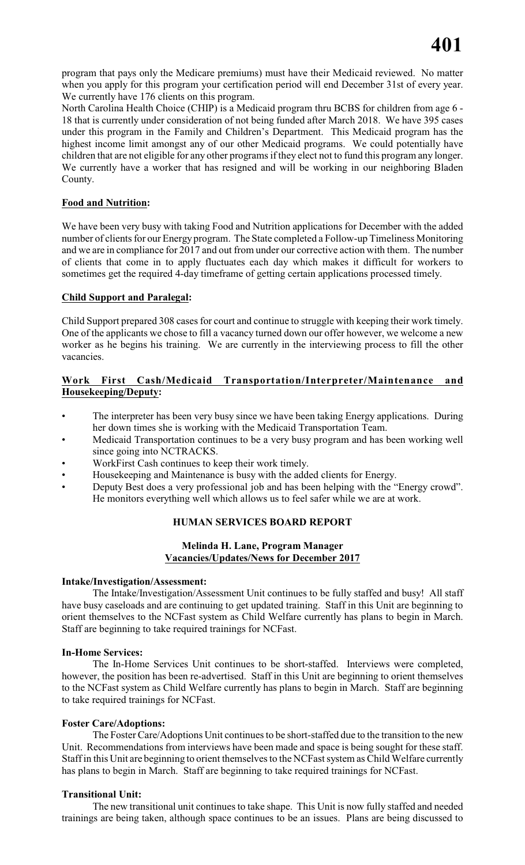program that pays only the Medicare premiums) must have their Medicaid reviewed. No matter when you apply for this program your certification period will end December 31st of every year. We currently have 176 clients on this program.

North Carolina Health Choice (CHIP) is a Medicaid program thru BCBS for children from age 6 - 18 that is currently under consideration of not being funded after March 2018. We have 395 cases under this program in the Family and Children's Department. This Medicaid program has the highest income limit amongst any of our other Medicaid programs. We could potentially have children that are not eligible for any other programs if they elect not to fund this program any longer. We currently have a worker that has resigned and will be working in our neighboring Bladen County.

# **Food and Nutrition:**

We have been very busy with taking Food and Nutrition applications for December with the added number of clients for our Energy program. The State completed a Follow-up Timeliness Monitoring and we are in compliance for 2017 and out from under our corrective action with them. The number of clients that come in to apply fluctuates each day which makes it difficult for workers to sometimes get the required 4-day timeframe of getting certain applications processed timely.

# **Child Support and Paralegal:**

Child Support prepared 308 cases for court and continue to struggle with keeping their work timely. One of the applicants we chose to fill a vacancy turned down our offer however, we welcome a new worker as he begins his training. We are currently in the interviewing process to fill the other vacancies.

# **Work First Cash/Medicaid Transportation/Interpreter/Maintenance and Housekeeping/Deputy:**

- The interpreter has been very busy since we have been taking Energy applications. During her down times she is working with the Medicaid Transportation Team.
- Medicaid Transportation continues to be a very busy program and has been working well since going into NCTRACKS.
- WorkFirst Cash continues to keep their work timely.
- Housekeeping and Maintenance is busy with the added clients for Energy.
- Deputy Best does a very professional job and has been helping with the "Energy crowd". He monitors everything well which allows us to feel safer while we are at work.

# **HUMAN SERVICES BOARD REPORT**

# **Melinda H. Lane, Program Manager Vacancies/Updates/News for December 2017**

# **Intake/Investigation/Assessment:**

The Intake/Investigation/Assessment Unit continues to be fully staffed and busy! All staff have busy caseloads and are continuing to get updated training. Staff in this Unit are beginning to orient themselves to the NCFast system as Child Welfare currently has plans to begin in March. Staff are beginning to take required trainings for NCFast.

# **In-Home Services:**

The In-Home Services Unit continues to be short-staffed. Interviews were completed, however, the position has been re-advertised. Staff in this Unit are beginning to orient themselves to the NCFast system as Child Welfare currently has plans to begin in March. Staff are beginning to take required trainings for NCFast.

# **Foster Care/Adoptions:**

The Foster Care/Adoptions Unit continues to be short-staffed due to the transition to the new Unit. Recommendations from interviews have been made and space is being sought for these staff. Staff in this Unit are beginning to orient themselves to the NCFast system as Child Welfare currently has plans to begin in March. Staff are beginning to take required trainings for NCFast.

# **Transitional Unit:**

The new transitional unit continues to take shape. This Unit is now fully staffed and needed trainings are being taken, although space continues to be an issues. Plans are being discussed to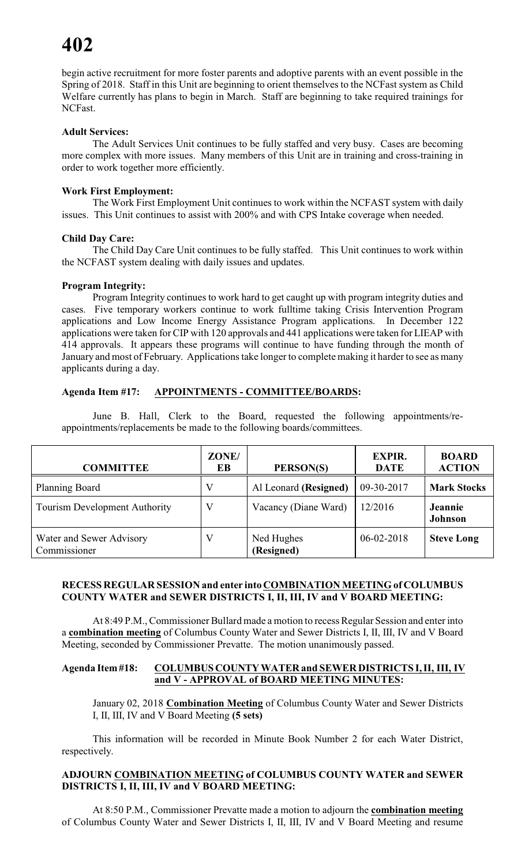begin active recruitment for more foster parents and adoptive parents with an event possible in the Spring of 2018. Staff in this Unit are beginning to orient themselves to the NCFast system as Child Welfare currently has plans to begin in March. Staff are beginning to take required trainings for NCFast.

# **Adult Services:**

The Adult Services Unit continues to be fully staffed and very busy. Cases are becoming more complex with more issues. Many members of this Unit are in training and cross-training in order to work together more efficiently.

# **Work First Employment:**

The Work First Employment Unit continues to work within the NCFAST system with daily issues. This Unit continues to assist with 200% and with CPS Intake coverage when needed.

# **Child Day Care:**

The Child Day Care Unit continues to be fully staffed. This Unit continues to work within the NCFAST system dealing with daily issues and updates.

### **Program Integrity:**

Program Integrity continues to work hard to get caught up with program integrity duties and cases. Five temporary workers continue to work fulltime taking Crisis Intervention Program applications and Low Income Energy Assistance Program applications. In December 122 applications were taken for CIP with 120 approvals and 441 applications were taken for LIEAP with 414 approvals. It appears these programs will continue to have funding through the month of January and most of February. Applications take longer to complete making it harder to see as many applicants during a day.

# **Agenda Item #17: APPOINTMENTS - COMMITTEE/BOARDS:**

June B. Hall, Clerk to the Board, requested the following appointments/reappointments/replacements be made to the following boards/committees.

| <b>COMMITTEE</b>                         | ZONE/<br>EB | PERSON(S)                | <b>EXPIR.</b><br><b>DATE</b> | <b>BOARD</b><br><b>ACTION</b>    |
|------------------------------------------|-------------|--------------------------|------------------------------|----------------------------------|
| <b>Planning Board</b>                    |             | Al Leonard (Resigned)    | 09-30-2017                   | <b>Mark Stocks</b>               |
| <b>Tourism Development Authority</b>     |             | Vacancy (Diane Ward)     | 12/2016                      | <b>Jeannie</b><br><b>Johnson</b> |
| Water and Sewer Advisory<br>Commissioner |             | Ned Hughes<br>(Resigned) | $06 - 02 - 2018$             | <b>Steve Long</b>                |

### **RECESS REGULAR SESSION and enter into COMBINATION MEETING of COLUMBUS COUNTY WATER and SEWER DISTRICTS I, II, III, IV and V BOARD MEETING:**

At 8:49 P.M., Commissioner Bullard made a motion to recess Regular Session and enter into a **combination meeting** of Columbus County Water and Sewer Districts I, II, III, IV and V Board Meeting, seconded by Commissioner Prevatte. The motion unanimously passed.

# **Agenda Item #18: COLUMBUS COUNTY WATER and SEWER DISTRICTS I, II, III, IV and V - APPROVAL of BOARD MEETING MINUTES:**

January 02, 2018 **Combination Meeting** of Columbus County Water and Sewer Districts I, II, III, IV and V Board Meeting **(5 sets)**

This information will be recorded in Minute Book Number 2 for each Water District, respectively.

## **ADJOURN COMBINATION MEETING of COLUMBUS COUNTY WATER and SEWER DISTRICTS I, II, III, IV and V BOARD MEETING:**

At 8:50 P.M., Commissioner Prevatte made a motion to adjourn the **combination meeting** of Columbus County Water and Sewer Districts I, II, III, IV and V Board Meeting and resume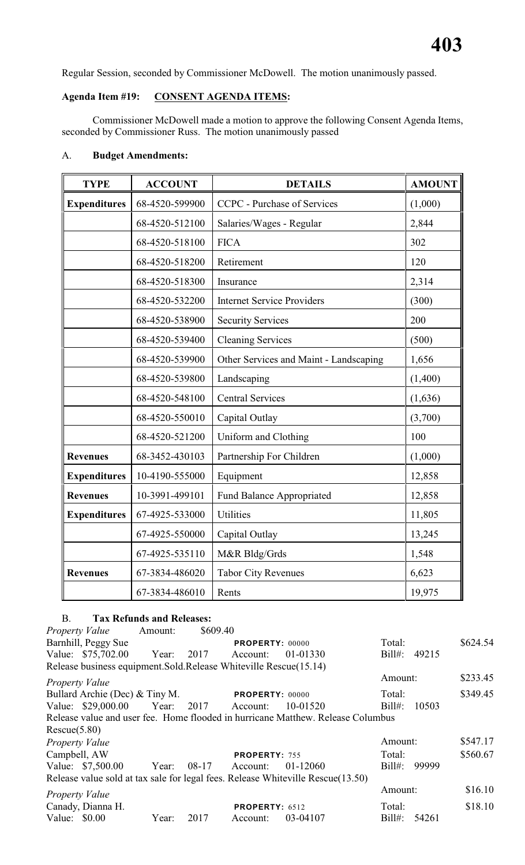Regular Session, seconded by Commissioner McDowell. The motion unanimously passed.

# **Agenda Item #19: CONSENT AGENDA ITEMS:**

Commissioner McDowell made a motion to approve the following Consent Agenda Items, seconded by Commissioner Russ. The motion unanimously passed

# A. **Budget Amendments:**

| <b>TYPE</b>         | <b>ACCOUNT</b> | <b>DETAILS</b>                         | <b>AMOUNT</b> |
|---------------------|----------------|----------------------------------------|---------------|
| <b>Expenditures</b> | 68-4520-599900 | <b>CCPC</b> - Purchase of Services     | (1,000)       |
|                     | 68-4520-512100 | Salaries/Wages - Regular               | 2,844         |
|                     | 68-4520-518100 | <b>FICA</b>                            | 302           |
|                     | 68-4520-518200 | Retirement                             | 120           |
|                     | 68-4520-518300 | Insurance                              | 2,314         |
|                     | 68-4520-532200 | <b>Internet Service Providers</b>      | (300)         |
|                     | 68-4520-538900 | <b>Security Services</b>               | 200           |
|                     | 68-4520-539400 | <b>Cleaning Services</b>               | (500)         |
|                     | 68-4520-539900 | Other Services and Maint - Landscaping | 1,656         |
|                     | 68-4520-539800 | Landscaping                            | (1,400)       |
|                     | 68-4520-548100 | <b>Central Services</b>                | (1,636)       |
|                     | 68-4520-550010 | Capital Outlay                         | (3,700)       |
|                     | 68-4520-521200 | Uniform and Clothing                   | 100           |
| <b>Revenues</b>     | 68-3452-430103 | Partnership For Children               | (1,000)       |
| <b>Expenditures</b> | 10-4190-555000 | Equipment                              | 12,858        |
| <b>Revenues</b>     | 10-3991-499101 | <b>Fund Balance Appropriated</b>       | 12,858        |
| <b>Expenditures</b> | 67-4925-533000 | Utilities                              | 11,805        |
|                     | 67-4925-550000 | Capital Outlay                         | 13,245        |
|                     | 67-4925-535110 | M&R Bldg/Grds                          | 1,548         |
| <b>Revenues</b>     | 67-3834-486020 | <b>Tabor City Revenues</b>             | 6,623         |
|                     | 67-3834-486010 | Rents                                  | 19,975        |

# B. **Tax Refunds and Releases:**

| Property Value        |                                                                    | Amount: | \$609.40 |                        |                                                                                 |           |       |          |
|-----------------------|--------------------------------------------------------------------|---------|----------|------------------------|---------------------------------------------------------------------------------|-----------|-------|----------|
|                       | Barnhill, Peggy Sue                                                |         |          | <b>PROPERTY: 00000</b> |                                                                                 | Total:    |       | \$624.54 |
|                       | Value: \$75,702.00 Year: 2017                                      |         |          | Account:               | 01-01330                                                                        | Bill#:    | 49215 |          |
|                       | Release business equipment. Sold. Release Whiteville Rescue(15.14) |         |          |                        |                                                                                 |           |       |          |
| Property Value        |                                                                    |         |          |                        |                                                                                 | Amount:   |       | \$233.45 |
|                       | Bullard Archie (Dec) & Tiny M.                                     |         |          | <b>PROPERTY: 00000</b> |                                                                                 | Total:    |       | \$349.45 |
|                       | Value: \$29,000.00 Year: 2017 Account:                             |         |          |                        | 10-01520                                                                        | $Bill#$ : | 10503 |          |
|                       |                                                                    |         |          |                        | Release value and user fee. Home flooded in hurricane Matthew. Release Columbus |           |       |          |
| Rescue(5.80)          |                                                                    |         |          |                        |                                                                                 |           |       |          |
| Property Value        |                                                                    |         |          |                        |                                                                                 | Amount:   |       | \$547.17 |
| Campbell, AW          |                                                                    |         |          | <b>PROPERTY: 755</b>   |                                                                                 | Total:    |       | \$560.67 |
|                       | Value: \$7,500.00 Year: 08-17                                      |         |          | Account:               | 01-12060                                                                        | $Bill#$ : | 99999 |          |
|                       |                                                                    |         |          |                        | Release value sold at tax sale for legal fees. Release Whiteville Rescue(13.50) |           |       |          |
| <b>Property Value</b> |                                                                    |         |          |                        |                                                                                 | Amount:   |       | \$16.10  |
|                       | Canady, Dianna H.                                                  |         |          | <b>PROPERTY: 6512</b>  |                                                                                 | Total:    |       | \$18.10  |
| Value: $$0.00$        |                                                                    | Year:   | 2017     | Account:               | 03-04107                                                                        | $Bill#$ : | 54261 |          |
|                       |                                                                    |         |          |                        |                                                                                 |           |       |          |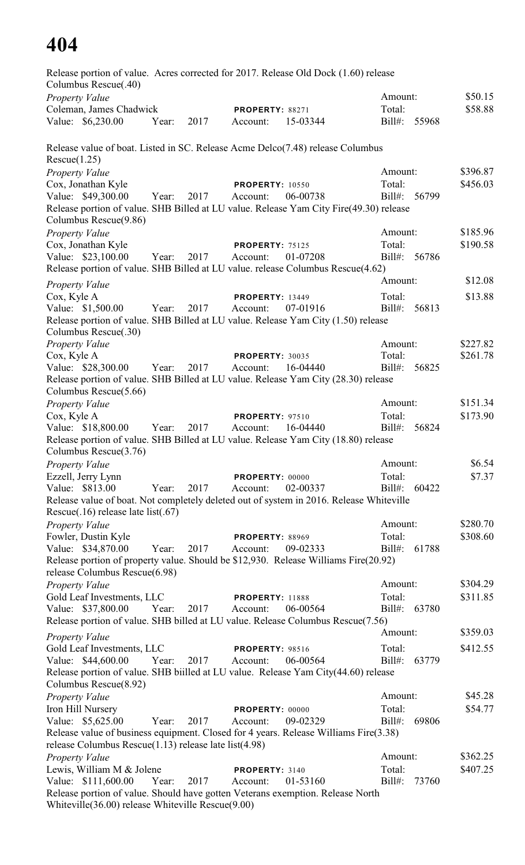Release portion of value. Acres corrected for 2017. Release Old Dock (1.60) release Columbus Rescue(.40) *Property Value* \$50.15 Coleman, James Chadwick **PROPERTY:** 88271 Total: \$58.88 Value: \$6,230.00 Year: 2017 Account: 15-03344 Bill#: 55968 Release value of boat. Listed in SC. Release Acme Delco(7.48) release Columbus Rescue(1.25) *Property Value* \$396.87 Cox, Jonathan Kyle **PROPERTY:** 10550 Total: \$456.03 Value: \$49,300.00 Year: 2017 Account: 06-00738 Bill#: 56799 Release portion of value. SHB Billed at LU value. Release Yam City Fire(49.30) release Columbus Rescue(9.86) *Property Value* \$185.96 Cox, Jonathan Kyle **PROPERTY:** 75125 Total: \$190.58 Value: \$23,100.00 Year: 2017 Account: 01-07208 Bill#: 56786 Release portion of value. SHB Billed at LU value. release Columbus Rescue(4.62) *Property Value* \$12.08 Cox, Kyle A **PROPERTY:** 13449 Total: \$13.88 Value: \$1,500.00 Year: 2017 Account: 07-01916 Bill#: 56813 Release portion of value. SHB Billed at LU value. Release Yam City (1.50) release Columbus Rescue(.30) *Property Value* \$227.82 Cox, Kyle A **PROPERTY**: 30035 Total: \$261.78 Value: \$28,300.00 Year: 2017 Account: 16-04440 Bill#: 56825 Release portion of value. SHB Billed at LU value. Release Yam City (28.30) release Columbus Rescue(5.66) *Property Value* \$151.34 Cox, Kyle A **PROPERTY**: 97510 Total: \$173.90 Value: \$18,800.00 Year: 2017 Account: 16-04440 Bill#: 56824 Release portion of value. SHB Billed at LU value. Release Yam City (18.80) release Columbus Rescue(3.76) *Property Value* \$6.54 Ezzell, Jerry Lynn **PROPERTY:** 00000 Total: \$7.37 Value: \$813.00 Year: 2017 Account: 02-00337 Bill#: 60422 Release value of boat. Not completely deleted out of system in 2016. Release Whiteville Rescue(.16) release late list(.67) *Property Value* \$280.70 Fowler, Dustin Kyle **PROPERTY:** 88969 Total: \$308.60 Value: \$34,870.00 Year: 2017 Account: 09-02333 Bill#: 61788 Release portion of property value. Should be \$12,930. Release Williams Fire(20.92) release Columbus Rescue(6.98) *Property Value* \$304.29 Gold Leaf Investments, LLC **PROPERTY:** 11888 Total: \$311.85 Value: \$37,800.00 Year: 2017 Account: 06-00564 Bill#: 63780 Release portion of value. SHB billed at LU value. Release Columbus Rescue(7.56) *Property Value* \$359.03 Gold Leaf Investments, LLC **PROPERTY:** 98516 Total: \$412.55 Value: \$44,600.00 Year: 2017 Account: 06-00564 Bill#: 63779 Release portion of value. SHB biilled at LU value. Release Yam City(44.60) release Columbus Rescue(8.92) *Property Value* \$45.28 **Iron Hill Nursery <b>PROPERTY:** 00000 Total: \$54.77 Value: \$5,625.00 Year: 2017 Account: 09-02329 Bill#: 69806 Release value of business equipment. Closed for 4 years. Release Williams Fire(3.38) release Columbus Rescue(1.13) release late list(4.98) *Property Value* \$362.25 Lewis, William M & Jolene **PROPERTY:** 3140 Total: \$407.25 Value: \$111,600.00 Year: 2017 Account: 01-53160 Bill#: 73760 Release portion of value. Should have gotten Veterans exemption. Release North Whiteville(36.00) release Whiteville Rescue(9.00)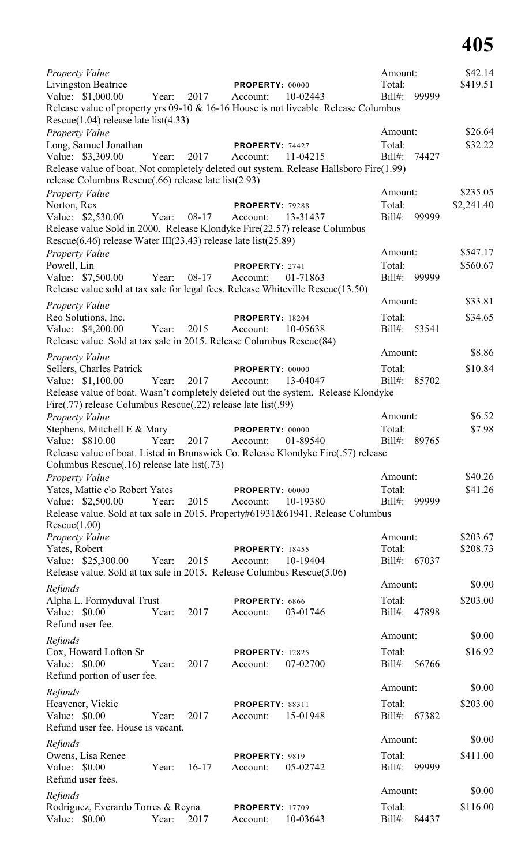| Property Value                                                                                                                    |       |         |                             |          | Amount:      |       | \$42.14    |
|-----------------------------------------------------------------------------------------------------------------------------------|-------|---------|-----------------------------|----------|--------------|-------|------------|
| Livingston Beatrice                                                                                                               |       |         | PROPERTY: 00000             |          | Total:       |       | \$419.51   |
| Value: \$1,000.00                                                                                                                 | Year: | 2017    | Account:                    | 10-02443 | Bill#:       | 99999 |            |
| Release value of property yrs 09-10 & 16-16 House is not liveable. Release Columbus<br>Rescue $(1.04)$ release late list $(4.33)$ |       |         |                             |          |              |       |            |
| Property Value                                                                                                                    |       |         |                             |          | Amount:      |       | \$26.64    |
| Long, Samuel Jonathan                                                                                                             |       |         | PROPERTY: 74427             |          | Total:       |       | \$32.22    |
| Value: \$3,309.00                                                                                                                 | Year: | 2017    | Account:                    | 11-04215 | Bill#:       | 74427 |            |
| Release value of boat. Not completely deleted out system. Release Hallsboro Fire(1.99)                                            |       |         |                             |          |              |       |            |
| release Columbus Rescue(.66) release late list(2.93)                                                                              |       |         |                             |          |              |       |            |
| Property Value                                                                                                                    |       |         |                             |          | Amount:      |       | \$235.05   |
| Norton, Rex                                                                                                                       |       |         | <b>PROPERTY: 79288</b>      |          | Total:       |       | \$2,241.40 |
| Value: \$2,530.00                                                                                                                 | Year: | 08-17   | Account:                    | 13-31437 | Bill#:       | 99999 |            |
| Release value Sold in 2000. Release Klondyke Fire(22.57) release Columbus                                                         |       |         |                             |          |              |       |            |
| Rescue $(6.46)$ release Water III $(23.43)$ release late list $(25.89)$                                                           |       |         |                             |          |              |       |            |
| <b>Property Value</b>                                                                                                             |       |         |                             |          | Amount:      |       | \$547.17   |
| Powell, Lin                                                                                                                       |       |         | PROPERTY: 2741              |          | Total:       |       | \$560.67   |
| Value: \$7,500.00                                                                                                                 | Year: | $08-17$ | Account:                    | 01-71863 | Bill#:       | 99999 |            |
| Release value sold at tax sale for legal fees. Release Whiteville Rescue(13.50)                                                   |       |         |                             |          |              |       |            |
| Property Value                                                                                                                    |       |         |                             |          | Amount:      |       | \$33.81    |
| Reo Solutions, Inc.                                                                                                               |       |         | <b>PROPERTY: 18204</b>      |          | Total:       |       | \$34.65    |
| Value: \$4,200.00                                                                                                                 | Year: | 2015    | Account:                    | 10-05638 | Bill#:       | 53541 |            |
| Release value. Sold at tax sale in 2015. Release Columbus Rescue(84)                                                              |       |         |                             |          |              |       |            |
|                                                                                                                                   |       |         |                             |          | Amount:      |       | \$8.86     |
| Property Value<br>Sellers, Charles Patrick                                                                                        |       |         |                             |          | Total:       |       | \$10.84    |
| Value: \$1,100.00                                                                                                                 | Year: | 2017    | PROPERTY: 00000<br>Account: | 13-04047 | $Bill#$ :    | 85702 |            |
| Release value of boat. Wasn't completely deleted out the system. Release Klondyke                                                 |       |         |                             |          |              |       |            |
| Fire(.77) release Columbus Rescue(.22) release late list(.99)                                                                     |       |         |                             |          |              |       |            |
| Property Value                                                                                                                    |       |         |                             |          | Amount:      |       | \$6.52     |
| Stephens, Mitchell E & Mary                                                                                                       |       |         | PROPERTY: 00000             |          | Total:       |       | \$7.98     |
| Value: \$810.00                                                                                                                   | Year: | 2017    | Account:                    | 01-89540 | Bill#: 89765 |       |            |
| Release value of boat. Listed in Brunswick Co. Release Klondyke Fire(.57) release                                                 |       |         |                             |          |              |       |            |
| Columbus Rescue(.16) release late list(.73)                                                                                       |       |         |                             |          |              |       |            |
| Property Value                                                                                                                    |       |         |                             |          | Amount:      |       | \$40.26    |
| Yates, Mattie c\o Robert Yates                                                                                                    |       |         | PROPERTY: 00000             |          | Total:       |       | \$41.26    |
| Value: \$2,500.00                                                                                                                 | Year: | 2015    | Account:                    | 10-19380 | $Bill#$ :    | 99999 |            |
| Release value. Sold at tax sale in 2015. Property#61931&61941. Release Columbus                                                   |       |         |                             |          |              |       |            |
| Rescue(1.00)                                                                                                                      |       |         |                             |          |              |       |            |
| <b>Property Value</b>                                                                                                             |       |         |                             |          | Amount:      |       | \$203.67   |
| Yates, Robert                                                                                                                     |       |         | <b>PROPERTY: 18455</b>      |          | Total:       |       | \$208.73   |
| Value: \$25,300.00                                                                                                                | Year: | 2015    | Account:                    | 10-19404 | Bill#:       | 67037 |            |
| Release value. Sold at tax sale in 2015. Release Columbus Rescue(5.06)                                                            |       |         |                             |          |              |       |            |
| Refunds                                                                                                                           |       |         |                             |          | Amount:      |       | \$0.00     |
| Alpha L. Formyduval Trust                                                                                                         |       |         | PROPERTY: 6866              |          | Total:       |       | \$203.00   |
| Value: \$0.00                                                                                                                     | Year: | 2017    | Account:                    | 03-01746 | $Bill#$ :    | 47898 |            |
| Refund user fee.                                                                                                                  |       |         |                             |          |              |       |            |
|                                                                                                                                   |       |         |                             |          | Amount:      |       | \$0.00     |
| Refunds                                                                                                                           |       |         |                             |          |              |       |            |
| Cox, Howard Lofton Sr                                                                                                             |       |         | <b>PROPERTY: 12825</b>      |          | Total:       |       | \$16.92    |
| Value: \$0.00                                                                                                                     | Year: | 2017    | Account:                    | 07-02700 | $Bill#$ :    | 56766 |            |
| Refund portion of user fee.                                                                                                       |       |         |                             |          | Amount:      |       | \$0.00     |
| Refunds                                                                                                                           |       |         |                             |          |              |       |            |
| Heavener, Vickie                                                                                                                  |       |         | <b>PROPERTY: 88311</b>      |          | Total:       |       | \$203.00   |
| Value: \$0.00                                                                                                                     | Year: | 2017    | Account:                    | 15-01948 | $Bill#$ :    | 67382 |            |
| Refund user fee. House is vacant.                                                                                                 |       |         |                             |          |              |       |            |
| Refunds                                                                                                                           |       |         |                             |          | Amount:      |       | \$0.00     |
| Owens, Lisa Renee                                                                                                                 |       |         | PROPERTY: 9819              |          | Total:       |       | \$411.00   |
| Value: \$0.00                                                                                                                     | Year: | $16-17$ | Account:                    | 05-02742 | $Bill#$ :    | 99999 |            |
| Refund user fees.                                                                                                                 |       |         |                             |          |              |       |            |
| Refunds                                                                                                                           |       |         |                             |          | Amount:      |       | \$0.00     |
| Rodriguez, Everardo Torres & Reyna                                                                                                |       |         | <b>PROPERTY: 17709</b>      |          | Total:       |       | \$116.00   |
| Value: \$0.00                                                                                                                     | Year: | 2017    | Account:                    | 10-03643 | Bill#:       | 84437 |            |
|                                                                                                                                   |       |         |                             |          |              |       |            |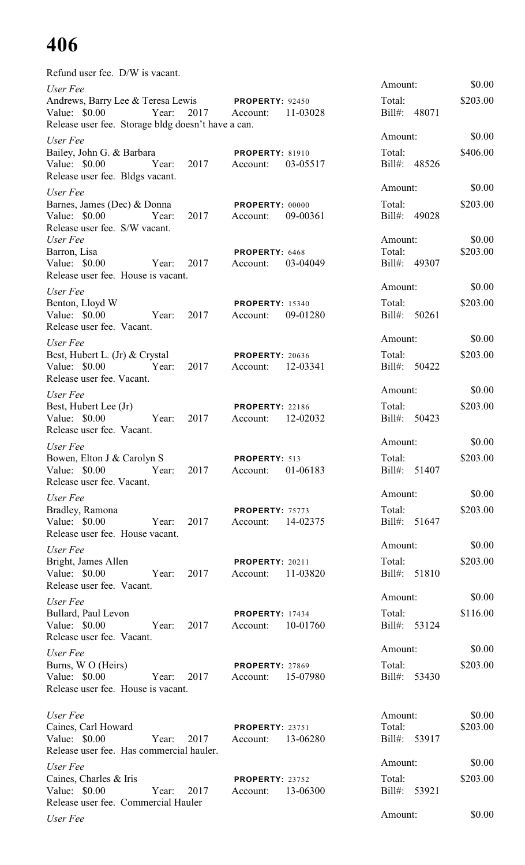Refund user fee. D/W is vacant.

| User Fee                                                                                                    |                                                | Amount:                           | \$0.00             |
|-------------------------------------------------------------------------------------------------------------|------------------------------------------------|-----------------------------------|--------------------|
| Andrews, Barry Lee & Teresa Lewis PROPERTY: 92450<br>Value: \$0.00<br>Year:<br>2017                         | 11-03028<br>Account:                           | Total:<br>Bill#: 48071            | \$203.00           |
| Release user fee. Storage bldg doesn't have a can.                                                          |                                                |                                   |                    |
| User Fee                                                                                                    |                                                | Amount:                           | \$0.00             |
| Bailey, John G. & Barbara<br>Value: \$0.00<br>2017<br>Year:<br>Release user fee. Bldgs vacant.              | <b>PROPERTY: 81910</b><br>03-05517<br>Account: | Total:<br>Bill#: 48526            | \$406.00           |
| User Fee                                                                                                    |                                                | Amount:                           | \$0.00             |
| Barnes, James (Dec) & Donna<br>Value: \$0.00<br>2017<br>Year:<br>Release user fee. S/W vacant.              | PROPERTY: 00000<br>09-00361<br>Account:        | Total:<br>Bill#: 49028            | \$203.00           |
| User Fee<br>Barron, Lisa                                                                                    | PROPERTY: 6468                                 | Amount:<br>Total:                 | \$0.00<br>\$203.00 |
| 2017<br>Value: \$0.00<br>Year:<br>Release user fee. House is vacant.                                        | 03-04049<br>Account:                           | Bill#: 49307                      |                    |
|                                                                                                             |                                                | Amount:                           | \$0.00             |
| User Fee<br>Benton, Lloyd W<br>Value: \$0.00<br>2017<br>Year:<br>Release user fee. Vacant.                  | <b>PROPERTY: 15340</b><br>09-01280<br>Account: | Total:<br>Bill#: 50261            | \$203.00           |
| User Fee                                                                                                    |                                                | Amount:                           | \$0.00             |
| Best, Hubert L. (Jr) & Crystal<br>Value: $$0.00$<br>Year:<br>2017<br>Release user fee. Vacant.              | <b>PROPERTY: 20636</b><br>12-03341<br>Account: | Total:<br>Bill#: 50422            | \$203.00           |
| User Fee                                                                                                    |                                                | Amount:                           | \$0.00             |
| Best, Hubert Lee (Jr)<br>2017<br>Value: \$0.00<br>Year:<br>Release user fee. Vacant.                        | <b>PROPERTY: 22186</b><br>12-02032<br>Account: | Total:<br>Bill#: 50423            | \$203.00           |
| User Fee                                                                                                    |                                                | Amount:                           | \$0.00             |
| Bowen, Elton J & Carolyn S<br>Value: \$0.00<br>Year:<br>2017<br>Release user fee. Vacant.                   | PROPERTY: 513<br>01-06183<br>Account:          | Total:<br>$Bill#$ :<br>51407      | \$203.00           |
| User Fee                                                                                                    |                                                | Amount:                           | \$0.00             |
| Bradley, Ramona<br>Value: $$0.00$<br>2017<br>Year:<br>Release user fee. House vacant.                       | PROPERTY: 75773<br>14-02375<br>Account:        | Total:<br>Bill#: 51647            | \$203.00           |
| User Fee                                                                                                    |                                                | Amount:                           | \$0.00             |
| Bright, James Allen<br>Value: \$0.00<br>2017<br>Year:<br>Release user fee. Vacant.                          | <b>PROPERTY: 20211</b><br>11-03820<br>Account: | Total:<br>Bill#: 51810            | \$203.00           |
| User Fee                                                                                                    |                                                | Amount:                           | \$0.00             |
| Bullard, Paul Levon<br>Value: $$0.00$<br>2017<br>Year:<br>Release user fee. Vacant.                         | <b>PROPERTY: 17434</b><br>10-01760<br>Account: | Total:<br>Bill#: 53124            | \$116.00           |
| User Fee                                                                                                    |                                                | Amount:                           | \$0.00             |
| Burns, W O (Heirs)<br>Value: $$0.00$<br>Year:<br>2017<br>Release user fee. House is vacant.                 | <b>PROPERTY: 27869</b><br>15-07980<br>Account: | Total:<br>Bill#: 53430            | \$203.00           |
|                                                                                                             |                                                |                                   |                    |
| User Fee<br>Caines, Carl Howard<br>Value: \$0.00<br>Year:<br>2017                                           | <b>PROPERTY: 23751</b><br>13-06280<br>Account: | Amount:<br>Total:<br>Bill#: 53917 | \$0.00<br>\$203.00 |
| Release user fee. Has commercial hauler.                                                                    |                                                | Amount:                           | \$0.00             |
| User Fee<br>Caines, Charles & Iris<br>Value: \$0.00<br>Year:<br>2017<br>Release user fee. Commercial Hauler | <b>PROPERTY: 23752</b><br>13-06300<br>Account: | Total:<br>Bill#: 53921            | \$203.00           |
| User Fee                                                                                                    |                                                | Amount:                           | \$0.00             |
|                                                                                                             |                                                |                                   |                    |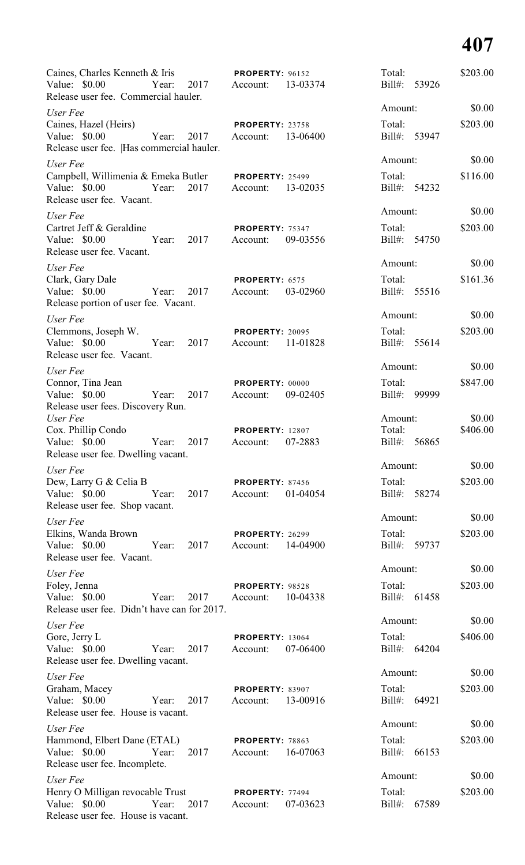| Caines, Charles Kenneth & Iris<br>Value: \$0.00                                                   | Year: | 2017 | <b>PROPERTY: 96152</b><br>Account: | 13-03374 | Total:<br>Bill#:       | 53926 | \$203.00           |
|---------------------------------------------------------------------------------------------------|-------|------|------------------------------------|----------|------------------------|-------|--------------------|
| Release user fee. Commercial hauler.                                                              |       |      |                                    |          | Amount:                |       | \$0.00             |
| User Fee                                                                                          |       |      |                                    |          | Total:                 |       | \$203.00           |
| Caines, Hazel (Heirs)<br>Value: $$0.00$<br>Release user fee.  Has commercial hauler.              | Year: | 2017 | PROPERTY: 23758<br>Account:        | 13-06400 | Bill#: 53947           |       |                    |
| User Fee                                                                                          |       |      |                                    |          | Amount:                |       | \$0.00             |
| Campbell, Willimenia & Emeka Butler PROPERTY: 25499<br>Value: \$0.00<br>Release user fee. Vacant. | Year: | 2017 | Account:                           | 13-02035 | Total:<br>Bill#: 54232 |       | \$116.00           |
| User Fee                                                                                          |       |      |                                    |          | Amount:                |       | \$0.00             |
| Cartret Jeff & Geraldine<br>Value: \$0.00<br>Release user fee. Vacant.                            | Year: | 2017 | PROPERTY: 75347<br>Account:        | 09-03556 | Total:<br>$Bill#$ :    | 54750 | \$203.00           |
| User Fee                                                                                          |       |      |                                    |          | Amount:                |       | \$0.00             |
| Clark, Gary Dale                                                                                  |       |      | PROPERTY: 6575                     |          | Total:                 |       | \$161.36           |
| Value: \$0.00<br>Release portion of user fee. Vacant.                                             | Year: | 2017 | Account:                           | 03-02960 | Bill#: 55516           |       |                    |
| User Fee                                                                                          |       |      |                                    |          | Amount:                |       | \$0.00             |
| Clemmons, Joseph W.<br>Value: \$0.00<br>Release user fee. Vacant.                                 | Year: | 2017 | PROPERTY: 20095<br>Account:        | 11-01828 | Total:<br>Bill#: 55614 |       | \$203.00           |
| User Fee                                                                                          |       |      |                                    |          | Amount:                |       | \$0.00             |
| Connor, Tina Jean                                                                                 |       |      | PROPERTY: 00000                    |          | Total:                 |       | \$847.00           |
| Value: $$0.00$<br>Release user fees. Discovery Run.                                               | Year: | 2017 | Account:                           | 09-02405 | Bill#:                 | 99999 |                    |
| User Fee<br>Cox. Phillip Condo                                                                    |       |      |                                    |          | Amount:<br>Total:      |       | \$0.00<br>\$406.00 |
| Value: \$0.00<br>Release user fee. Dwelling vacant.                                               | Year: | 2017 | <b>PROPERTY: 12807</b><br>Account: | 07-2883  | Bill#:                 | 56865 |                    |
| User Fee                                                                                          |       |      |                                    |          | Amount:                |       | \$0.00             |
| Dew, Larry G & Celia B<br>Value: \$0.00<br>Release user fee. Shop vacant.                         | Year: | 2017 | <b>PROPERTY: 87456</b><br>Account: | 01-04054 | Total:<br>$Bill#$ :    | 58274 | \$203.00           |
| User Fee                                                                                          |       |      |                                    |          | Amount:                |       | \$0.00             |
| Elkins, Wanda Brown<br>Value: \$0.00<br>Release user fee. Vacant.                                 | Year: | 2017 | <b>PROPERTY: 26299</b><br>Account: | 14-04900 | Total:<br>Bill#:       | 59737 | \$203.00           |
| User Fee                                                                                          |       |      |                                    |          | Amount:                |       | \$0.00             |
| Foley, Jenna<br>Value: \$0.00<br>Release user fee. Didn't have can for 2017.                      | Year: | 2017 | PROPERTY: 98528<br>Account:        | 10-04338 | Total:<br>$Bill#$ :    | 61458 | \$203.00           |
| User Fee                                                                                          |       |      |                                    |          | Amount:                |       | \$0.00             |
| Gore, Jerry L<br>Value: \$0.00<br>Release user fee. Dwelling vacant.                              | Year: | 2017 | <b>PROPERTY: 13064</b><br>Account: | 07-06400 | Total:<br>$Bill#$ :    | 64204 | \$406.00           |
| User Fee                                                                                          |       |      |                                    |          | Amount:                |       | \$0.00             |
| Graham, Macey                                                                                     |       |      | PROPERTY: 83907                    |          | Total:                 |       | \$203.00           |
| Value: \$0.00<br>Release user fee. House is vacant.                                               | Year: | 2017 | Account:                           | 13-00916 | Bill#:                 | 64921 |                    |
| User Fee                                                                                          |       |      |                                    |          | Amount:                |       | \$0.00             |
| Hammond, Elbert Dane (ETAL)<br>Value: \$0.00<br>Release user fee. Incomplete.                     | Year: | 2017 | PROPERTY: 78863<br>Account:        | 16-07063 | Total:<br>$Bill#$ :    | 66153 | \$203.00           |
| User Fee                                                                                          |       |      |                                    |          | Amount:                |       | \$0.00             |
| Henry O Milligan revocable Trust<br>Value: \$0.00<br>Release user fee. House is vacant.           | Year: | 2017 | PROPERTY: 77494<br>Account:        | 07-03623 | Total:<br>Bill#:       | 67589 | \$203.00           |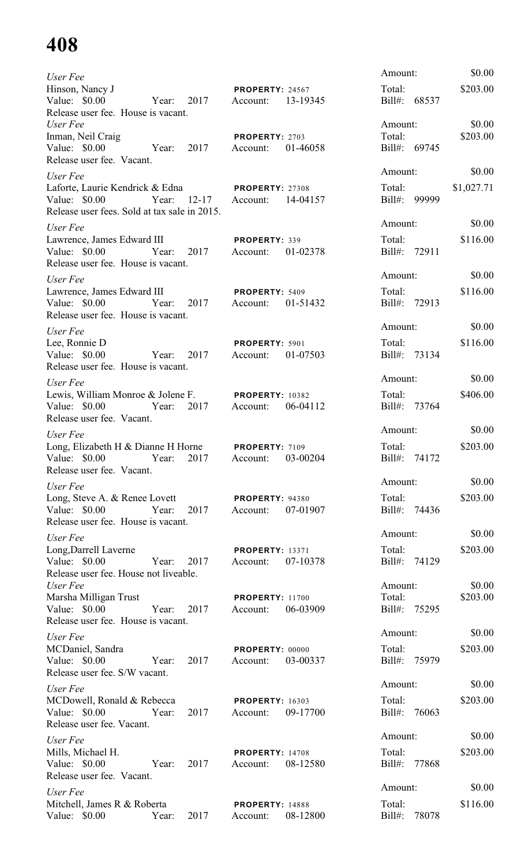| User Fee                                                                                                                         |                     |                                               |          | Amount:                           | \$0.00             |
|----------------------------------------------------------------------------------------------------------------------------------|---------------------|-----------------------------------------------|----------|-----------------------------------|--------------------|
| Hinson, Nancy J<br>Value: \$0.00<br>Release user fee. House is vacant.                                                           | 2017<br>Year:       | <b>PROPERTY: 24567</b><br>Account:            | 13-19345 | Total:<br>Bill#: 68537            | \$203.00           |
| User Fee<br>Inman, Neil Craig<br>Value: \$0.00<br>Year:                                                                          | 2017                | PROPERTY: 2703<br>Account:                    | 01-46058 | Amount:<br>Total:<br>Bill#: 69745 | \$0.00<br>\$203.00 |
| Release user fee. Vacant.                                                                                                        |                     |                                               |          |                                   |                    |
| User Fee                                                                                                                         |                     |                                               |          | Amount:<br>Total:                 | \$0.00             |
| Laforte, Laurie Kendrick & Edna<br>Value: \$0.00<br>Year:<br>Release user fees. Sold at tax sale in 2015.                        | $12 - 17$           | <b>PROPERTY: 27308</b><br>Account:            | 14-04157 | Bill#: 99999                      | \$1,027.71         |
| User Fee                                                                                                                         |                     |                                               |          | Amount:                           | \$0.00             |
| Lawrence, James Edward III<br>Value: $$0.00$<br>Year:<br>Release user fee. House is vacant.                                      | 2017                | PROPERTY: 339<br>Account:                     | 01-02378 | Total:<br>Bill#: 72911            | \$116.00           |
| User Fee                                                                                                                         |                     |                                               |          | Amount:                           | \$0.00             |
| Lawrence, James Edward III<br>Value: \$0.00<br>Year:<br>Release user fee. House is vacant.                                       | 2017                | PROPERTY: 5409<br>Account:                    | 01-51432 | Total:<br>Bill#: 72913            | \$116.00           |
| User Fee                                                                                                                         |                     |                                               |          | Amount:                           | \$0.00             |
| Lee, Ronnie D<br>Value: \$0.00<br>Year:<br>Release user fee. House is vacant.                                                    | 2017                | PROPERTY: 5901<br>Account:                    | 01-07503 | Total:<br>Bill#: 73134            | \$116.00           |
| User Fee                                                                                                                         |                     |                                               |          | Amount:                           | \$0.00             |
| Lewis, William Monroe & Jolene F.<br>Value: \$0.00<br>Year:<br>Release user fee. Vacant.                                         | 2017                | <b>PROPERTY: 10382</b><br>Account:            | 06-04112 | Total:<br>Bill#: 73764            | \$406.00           |
| User Fee                                                                                                                         |                     |                                               |          | Amount:                           | \$0.00             |
| Long, Elizabeth H & Dianne H Horne<br>Value: \$0.00 		 Year: 2017 	 Account: 03-00204<br>Release user fee. Vacant.               |                     | <b>PROPERTY: 7109</b>                         |          | Total:<br>Bill#: 74172            | \$203.00           |
| User Fee                                                                                                                         |                     |                                               |          | Amount:                           | \$0.00             |
| Long, Steve A. & Renee Lovett <b>PROPERTY</b> : 94380<br>Value: \$0.00 Year: 2017 Account:<br>Release user fee. House is vacant. |                     |                                               | 07-01907 | Total:<br>Bill#: 74436            | \$203.00           |
| User Fee                                                                                                                         |                     |                                               |          | Amount:                           | \$0.00             |
| Long, Darrell Laverne<br>Value: \$0.00 Year: 2017<br>Release user fee. House not liveable.                                       |                     | <b>PROPERTY: 13371</b><br>Account:            | 07-10378 | Total:<br>Bill#: 74129            | \$203.00           |
| User Fee<br>Marsha Milligan Trust<br>Value: \$0.00 Year: 2017                                                                    |                     | <b>PROPERTY: 11700</b><br>Account:            | 06-03909 | Amount:<br>Total:<br>Bill#: 75295 | \$0.00<br>\$203.00 |
| Release user fee. House is vacant.                                                                                               |                     |                                               |          | Amount:                           | \$0.00             |
| User Fee<br>MCDaniel, Sandra<br>Value: \$0.00                                                                                    | Year: 2017          | <b>PROPERTY: 00000</b><br>Account:            | 03-00337 | Total:<br>Bill#: 75979            | \$203.00           |
| Release user fee. S/W vacant.                                                                                                    |                     |                                               |          | Amount:                           | \$0.00             |
| User Fee<br>MCDowell, Ronald & Rebecca PROPERTY: 16303<br>Value: \$0.00                                                          | Year: 2017 Account: |                                               | 09-17700 | Total:<br>Bill#: 76063            | \$203.00           |
| Release user fee. Vacant.<br>User Fee                                                                                            |                     |                                               |          | Amount:                           | \$0.00             |
| Mills, Michael H.<br>Value: \$0.00<br>Release user fee. Vacant.                                                                  |                     | <b>PROPERTY: 14708</b><br>Year: 2017 Account: | 08-12580 | Total:<br>Bill#: 77868            | \$203.00           |
| User Fee                                                                                                                         |                     |                                               |          | Amount:                           | \$0.00             |
| Mitchell, James R & Roberta <b>PROPERTY</b> : 14888<br>Value: \$0.00<br>Year:                                                    |                     | 2017 Account:                                 | 08-12800 | Total:<br>Bill#: 78078            | \$116.00           |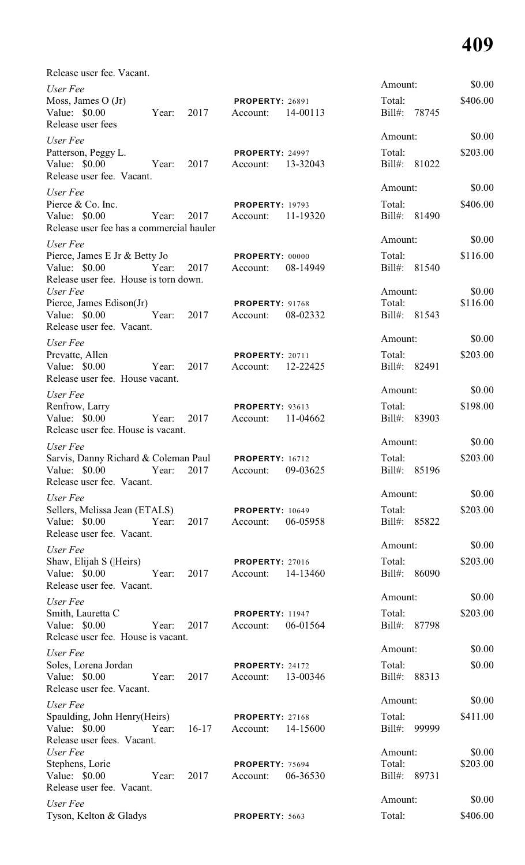Release user fee. Vacant.

| User Fee                                                                                 |       |         |                                    |          | Amount:                           |       | \$0.00             |
|------------------------------------------------------------------------------------------|-------|---------|------------------------------------|----------|-----------------------------------|-------|--------------------|
| Moss, James $O(Jr)$<br>Value: $$0.00$<br>Release user fees                               | Year: | 2017    | <b>PROPERTY: 26891</b><br>Account: | 14-00113 | Total:<br>Bill#: 78745            |       | \$406.00           |
| User Fee                                                                                 |       |         |                                    |          | Amount:                           |       | \$0.00             |
| Patterson, Peggy L.<br>Value: \$0.00<br>Release user fee. Vacant.                        | Year: | 2017    | <b>PROPERTY: 24997</b><br>Account: | 13-32043 | Total:<br>Bill#: 81022            |       | \$203.00           |
| User Fee                                                                                 |       |         |                                    |          | Amount:                           |       | \$0.00             |
| Pierce & Co. Inc.<br>Value: \$0.00<br>Release user fee has a commercial hauler           | Year: | 2017    | <b>PROPERTY: 19793</b><br>Account: | 11-19320 | Total:<br>Bill#: 81490            |       | \$406.00           |
| User Fee                                                                                 |       |         |                                    |          | Amount:                           |       | \$0.00             |
| Pierce, James E Jr & Betty Jo<br>Value: $$0.00$<br>Release user fee. House is torn down. | Year: | 2017    | PROPERTY: 00000<br>Account:        | 08-14949 | Total:<br>Bill#: 81540            |       | \$116.00           |
| User Fee                                                                                 |       |         |                                    |          | Amount:                           |       | \$0.00             |
| Pierce, James Edison(Jr)<br>Value: \$0.00<br>Release user fee. Vacant.                   | Year: | 2017    | PROPERTY: 91768<br>Account:        | 08-02332 | Total:<br>Bill#: 81543            |       | \$116.00           |
| User Fee                                                                                 |       |         |                                    |          | Amount:                           |       | \$0.00             |
| Prevatte, Allen                                                                          |       |         | <b>PROPERTY: 20711</b>             |          | Total:                            |       | \$203.00           |
| Value: \$0.00<br>Release user fee. House vacant.                                         | Year: | 2017    | Account:                           | 12-22425 | Bill#: 82491                      |       |                    |
| User Fee                                                                                 |       |         |                                    |          | Amount:                           |       | \$0.00             |
| Renfrow, Larry<br>Value: \$0.00<br>Release user fee. House is vacant.                    | Year: | 2017    | PROPERTY: 93613<br>Account:        | 11-04662 | Total:<br>Bill#: 83903            |       | \$198.00           |
| User Fee                                                                                 |       |         |                                    |          | Amount:                           |       | \$0.00             |
| Sarvis, Danny Richard & Coleman Paul<br>Value: $$0.00$<br>Release user fee. Vacant.      | Year: | 2017    | <b>PROPERTY: 16712</b><br>Account: | 09-03625 | Total:<br>$Bill#$ :               | 85196 | \$203.00           |
| User Fee                                                                                 |       |         |                                    |          | Amount:                           |       | \$0.00             |
| Sellers, Melissa Jean (ETALS)<br>Value: $$0.00$                                          | Year: | 2017    | <b>PROPERTY: 10649</b><br>Account: | 06-05958 | Total:<br>Bill#: 85822            |       | \$203.00           |
| Release user fee. Vacant.                                                                |       |         |                                    |          | Amount:                           |       |                    |
| User Fee<br>Shaw, Elijah S ( Heirs)<br>Value: \$0.00<br>Release user fee. Vacant.        | Year: | 2017    | <b>PROPERTY: 27016</b><br>Account: | 14-13460 | Total:<br>$Bill#$ :               | 86090 | \$0.00<br>\$203.00 |
| User Fee                                                                                 |       |         |                                    |          | Amount:                           |       | \$0.00             |
| Smith, Lauretta C<br>Value: \$0.00                                                       | Year: | 2017    | <b>PROPERTY: 11947</b><br>Account: | 06-01564 | Total:<br>Bill#:                  | 87798 | \$203.00           |
| Release user fee. House is vacant.                                                       |       |         |                                    |          | Amount:                           |       | \$0.00             |
| User Fee<br>Soles, Lorena Jordan<br>Value: \$0.00                                        | Year: | 2017    | <b>PROPERTY: 24172</b><br>Account: | 13-00346 | Total:<br>$Bill#$ :               | 88313 | \$0.00             |
| Release user fee. Vacant.                                                                |       |         |                                    |          |                                   |       |                    |
| User Fee                                                                                 |       |         |                                    |          | Amount:                           |       | \$0.00             |
| Spaulding, John Henry(Heirs)<br>Value: \$0.00<br>Release user fees. Vacant.              | Year: | $16-17$ | <b>PROPERTY: 27168</b><br>Account: | 14-15600 | Total:<br>$Bill#$ :               | 99999 | \$411.00           |
| User Fee<br>Stephens, Lorie<br>Value: $$0.00$<br>Release user fee. Vacant.               | Year: | 2017    | PROPERTY: 75694<br>Account:        | 06-36530 | Amount:<br>Total:<br>Bill#: 89731 |       | \$0.00<br>\$203.00 |
| User Fee                                                                                 |       |         |                                    |          | Amount:                           |       | \$0.00             |
| Tyson, Kelton & Gladys                                                                   |       |         | PROPERTY: 5663                     |          | Total:                            |       | \$406.00           |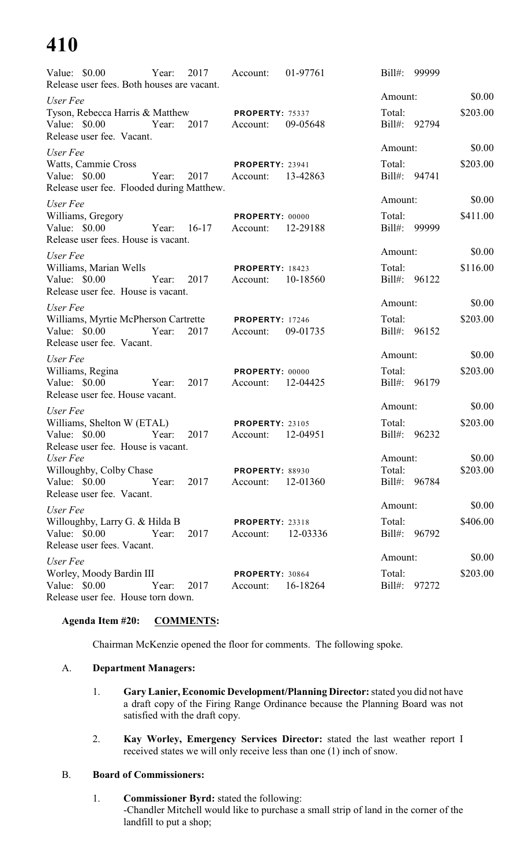| Value: \$0.00 Year:<br>Release user fees. Both houses are vacant.   |       |                     | 2017 Account:                           | 01-97761 | Bill#: 99999           |          |
|---------------------------------------------------------------------|-------|---------------------|-----------------------------------------|----------|------------------------|----------|
| User Fee                                                            |       |                     |                                         |          | Amount:                | \$0.00   |
| Tyson, Rebecca Harris & Matthew PROPERTY: 75337                     |       |                     |                                         |          | Total:                 | \$203.00 |
| Value: $$0.00$<br>Release user fee. Vacant.                         |       | Year: 2017 Account: |                                         | 09-05648 | Bill#: 92794           |          |
| User Fee                                                            |       |                     |                                         |          | Amount:                | \$0.00   |
| Watts, Cammie Cross                                                 |       |                     | <b>PROPERTY: 23941</b>                  |          | Total:                 | \$203.00 |
| Value: \$0.00                                                       |       |                     | Year: 2017 Account:                     | 13-42863 | Bill#: 94741           |          |
| Release user fee. Flooded during Matthew.                           |       |                     |                                         |          | Amount:                | \$0.00   |
| User Fee                                                            |       |                     |                                         |          | Total:                 | \$411.00 |
| Williams, Gregory<br>Value: \$0.00                                  |       |                     | PROPERTY: 00000<br>Year: 16-17 Account: | 12-29188 | Bill#: 99999           |          |
| Release user fees. House is vacant.                                 |       |                     |                                         |          |                        |          |
| User Fee                                                            |       |                     |                                         |          | Amount:                | \$0.00   |
| Williams, Marian Wells                                              |       |                     | <b>PROPERTY: 18423</b>                  |          | Total:                 | \$116.00 |
| Value: \$0.00<br>Release user fee. House is vacant.                 |       |                     | Year: 2017 Account:                     | 10-18560 | Bill#: 96122           |          |
| User Fee                                                            |       |                     |                                         |          | Amount:                | \$0.00   |
| Williams, Myrtie McPherson Cartrette PROPERTY: 17246                |       |                     |                                         |          | Total:                 | \$203.00 |
| Value: \$0.00 Year: 2017 Account:                                   |       |                     |                                         | 09-01735 | Bill#: 96152           |          |
| Release user fee. Vacant.                                           |       |                     |                                         |          | Amount:                | \$0.00   |
| User Fee                                                            |       |                     |                                         |          |                        |          |
| Williams, Regina<br>Value: \$0.00 		 Year: 2017 	 Account: 12-04425 |       |                     | <b>PROPERTY: 00000</b>                  |          | Total:<br>Bill#: 96179 | \$203.00 |
| Release user fee. House vacant.                                     |       |                     |                                         |          |                        |          |
| User Fee                                                            |       |                     |                                         |          | Amount:                | \$0.00   |
| Williams, Shelton W (ETAL) PROPERTY: 23105                          |       |                     |                                         |          | Total:                 | \$203.00 |
| Value: \$0.00 Year: 2017 Account:                                   |       |                     |                                         | 12-04951 | Bill#: 96232           |          |
| Release user fee. House is vacant.<br>User Fee                      |       |                     |                                         |          |                        | \$0.00   |
| Willoughby, Colby Chase                                             |       |                     | <b>PROPERTY: 88930</b>                  |          | Amount:<br>Total:      | \$203.00 |
| Value: \$0.00                                                       | Year: | 2017                | Account:                                | 12-01360 | Bill#: 96784           |          |
| Release user fee. Vacant.                                           |       |                     |                                         |          |                        |          |
| User Fee                                                            |       |                     |                                         |          | Amount:                | \$0.00   |
| Willoughby, Larry G. & Hilda B                                      |       |                     | <b>PROPERTY: 23318</b>                  |          | Total:                 | \$406.00 |
| Value: $$0.00$                                                      | Year: | 2017                | Account:                                | 12-03336 | Bill#: 96792           |          |
| Release user fees. Vacant.                                          |       |                     |                                         |          | Amount:                | \$0.00   |
| User Fee<br>Worley, Moody Bardin III                                |       |                     | PROPERTY: 30864                         |          | Total:                 | \$203.00 |
| Value: \$0.00                                                       | Year: | 2017                | Account:                                | 16-18264 | Bill#: 97272           |          |
| Release user fee. House torn down.                                  |       |                     |                                         |          |                        |          |

# **Agenda Item #20: COMMENTS:**

Chairman McKenzie opened the floor for comments. The following spoke.

# A. **Department Managers:**

- 1. **Gary Lanier, Economic Development/Planning Director:**stated you did not have a draft copy of the Firing Range Ordinance because the Planning Board was not satisfied with the draft copy.
- 2. **Kay Worley, Emergency Services Director:** stated the last weather report I received states we will only receive less than one (1) inch of snow.

# B. **Board of Commissioners:**

1. **Commissioner Byrd:** stated the following: -Chandler Mitchell would like to purchase a small strip of land in the corner of the landfill to put a shop;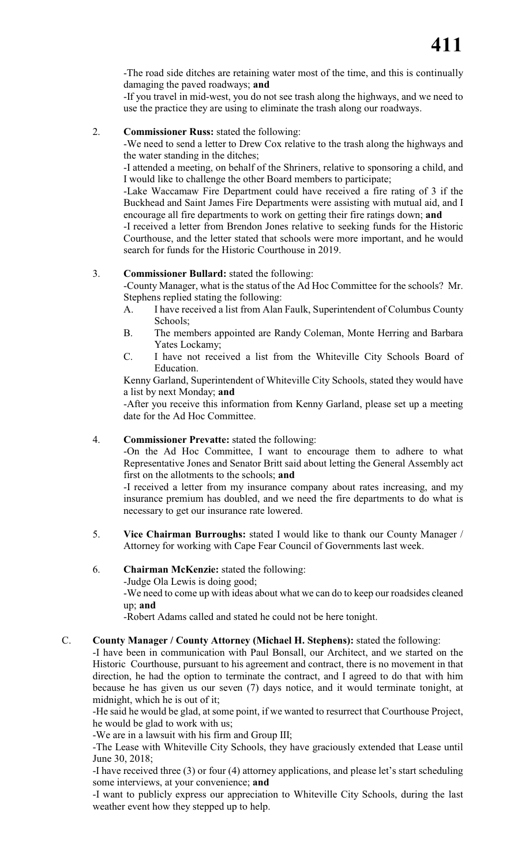-The road side ditches are retaining water most of the time, and this is continually damaging the paved roadways; **and**

-If you travel in mid-west, you do not see trash along the highways, and we need to use the practice they are using to eliminate the trash along our roadways.

2. **Commissioner Russ:** stated the following:

-We need to send a letter to Drew Cox relative to the trash along the highways and the water standing in the ditches;

-I attended a meeting, on behalf of the Shriners, relative to sponsoring a child, and I would like to challenge the other Board members to participate;

-Lake Waccamaw Fire Department could have received a fire rating of 3 if the Buckhead and Saint James Fire Departments were assisting with mutual aid, and I encourage all fire departments to work on getting their fire ratings down; **and**

-I received a letter from Brendon Jones relative to seeking funds for the Historic Courthouse, and the letter stated that schools were more important, and he would search for funds for the Historic Courthouse in 2019.

# 3. **Commissioner Bullard:** stated the following:

-County Manager, what is the status of the Ad Hoc Committee for the schools? Mr. Stephens replied stating the following:

- A. I have received a list from Alan Faulk, Superintendent of Columbus County Schools;
- B. The members appointed are Randy Coleman, Monte Herring and Barbara Yates Lockamy;
- C. I have not received a list from the Whiteville City Schools Board of Education.

Kenny Garland, Superintendent of Whiteville City Schools, stated they would have a list by next Monday; **and**

-After you receive this information from Kenny Garland, please set up a meeting date for the Ad Hoc Committee.

# 4. **Commissioner Prevatte:** stated the following:

-On the Ad Hoc Committee, I want to encourage them to adhere to what Representative Jones and Senator Britt said about letting the General Assembly act first on the allotments to the schools; **and**

-I received a letter from my insurance company about rates increasing, and my insurance premium has doubled, and we need the fire departments to do what is necessary to get our insurance rate lowered.

5. **Vice Chairman Burroughs:** stated I would like to thank our County Manager / Attorney for working with Cape Fear Council of Governments last week.

# 6. **Chairman McKenzie:** stated the following:

-Judge Ola Lewis is doing good;

-We need to come up with ideas about what we can do to keep our roadsides cleaned up; **and**

-Robert Adams called and stated he could not be here tonight.

# C. **County Manager / County Attorney (Michael H. Stephens):** stated the following:

-I have been in communication with Paul Bonsall, our Architect, and we started on the Historic Courthouse, pursuant to his agreement and contract, there is no movement in that direction, he had the option to terminate the contract, and I agreed to do that with him because he has given us our seven (7) days notice, and it would terminate tonight, at midnight, which he is out of it;

-He said he would be glad, at some point, if we wanted to resurrect that Courthouse Project, he would be glad to work with us;

-We are in a lawsuit with his firm and Group III;

-The Lease with Whiteville City Schools, they have graciously extended that Lease until June 30, 2018;

-I have received three (3) or four (4) attorney applications, and please let's start scheduling some interviews, at your convenience; **and**

-I want to publicly express our appreciation to Whiteville City Schools, during the last weather event how they stepped up to help.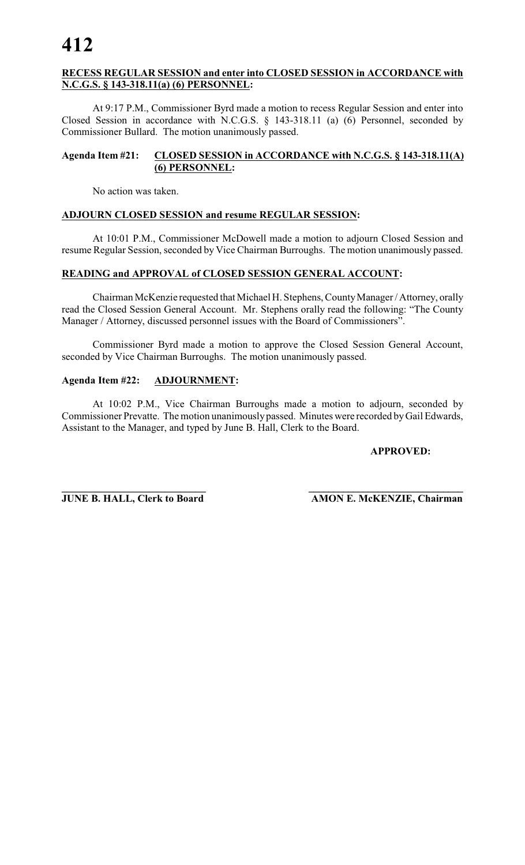# **RECESS REGULAR SESSION and enter into CLOSED SESSION in ACCORDANCE with N.C.G.S. § 143-318.11(a) (6) PERSONNEL:**

At 9:17 P.M., Commissioner Byrd made a motion to recess Regular Session and enter into Closed Session in accordance with N.C.G.S. § 143-318.11 (a) (6) Personnel, seconded by Commissioner Bullard. The motion unanimously passed.

# **Agenda Item #21: CLOSED SESSION in ACCORDANCE with N.C.G.S. § 143-318.11(A) (6) PERSONNEL:**

No action was taken.

# **ADJOURN CLOSED SESSION and resume REGULAR SESSION:**

At 10:01 P.M., Commissioner McDowell made a motion to adjourn Closed Session and resume Regular Session, seconded by Vice Chairman Burroughs. The motion unanimously passed.

# **READING and APPROVAL of CLOSED SESSION GENERAL ACCOUNT:**

Chairman McKenzie requested that Michael H. Stephens, CountyManager / Attorney, orally read the Closed Session General Account. Mr. Stephens orally read the following: "The County Manager / Attorney, discussed personnel issues with the Board of Commissioners".

Commissioner Byrd made a motion to approve the Closed Session General Account, seconded by Vice Chairman Burroughs. The motion unanimously passed.

# **Agenda Item #22: ADJOURNMENT:**

At 10:02 P.M., Vice Chairman Burroughs made a motion to adjourn, seconded by Commissioner Prevatte. The motion unanimously passed. Minutes were recorded by Gail Edwards, Assistant to the Manager, and typed by June B. Hall, Clerk to the Board.

# **APPROVED:**

**\_\_\_\_\_\_\_\_\_\_\_\_\_\_\_\_\_\_\_\_\_\_\_\_\_\_\_\_ \_\_\_\_\_\_\_\_\_\_\_\_\_\_\_\_\_\_\_\_\_\_\_\_\_\_\_\_\_\_\_ JUNE B. HALL, Clerk to Board AMON E. McKENZIE, Chairman**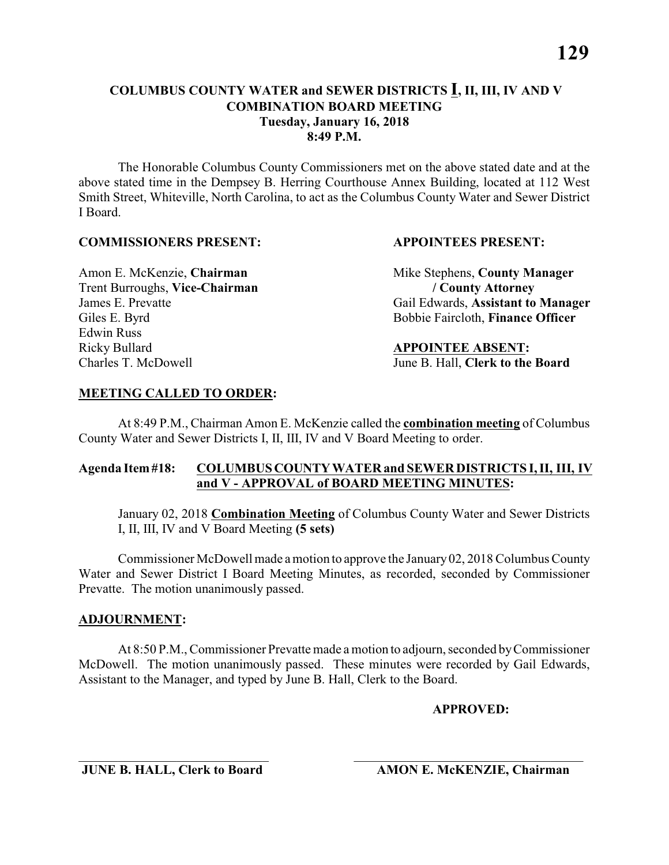# **COLUMBUS COUNTY WATER and SEWER DISTRICTS I, II, III, IV AND V COMBINATION BOARD MEETING Tuesday, January 16, 2018 8:49 P.M.**

The Honorable Columbus County Commissioners met on the above stated date and at the above stated time in the Dempsey B. Herring Courthouse Annex Building, located at 112 West Smith Street, Whiteville, North Carolina, to act as the Columbus County Water and Sewer District I Board.

### **COMMISSIONERS PRESENT: APPOINTEES PRESENT:**

Trent Burroughs, **Vice-Chairman / County Attorney** Edwin Russ Ricky Bullard **APPOINTEE ABSENT:** Charles T. McDowell June B. Hall, **Clerk to the Board**

Amon E. McKenzie, **Chairman** Mike Stephens, **County Manager** James E. Prevatte Gail Edwards, **Assistant to Manager** Giles E. Byrd Bobbie Faircloth, **Finance Officer** 

## **MEETING CALLED TO ORDER:**

At 8:49 P.M., Chairman Amon E. McKenzie called the **combination meeting** of Columbus County Water and Sewer Districts I, II, III, IV and V Board Meeting to order.

# **Agenda Item #18: COLUMBUS COUNTY WATER and SEWER DISTRICTS I, II, III, IV and V - APPROVAL of BOARD MEETING MINUTES:**

January 02, 2018 **Combination Meeting** of Columbus County Water and Sewer Districts I, II, III, IV and V Board Meeting **(5 sets)**

Commissioner McDowell made amotion to approve the January 02, 2018 Columbus County Water and Sewer District I Board Meeting Minutes, as recorded, seconded by Commissioner Prevatte. The motion unanimously passed.

#### **ADJOURNMENT:**

At 8:50 P.M., Commissioner Prevatte made a motion to adjourn, seconded by Commissioner McDowell. The motion unanimously passed. These minutes were recorded by Gail Edwards, Assistant to the Manager, and typed by June B. Hall, Clerk to the Board.

#### **APPROVED:**

 $\overline{\phantom{a}}$  , and the contribution of the contribution of the contribution of the contribution of the contribution of the contribution of the contribution of the contribution of the contribution of the contribution of the **JUNE B. HALL, Clerk to Board AMON E. McKENZIE, Chairman**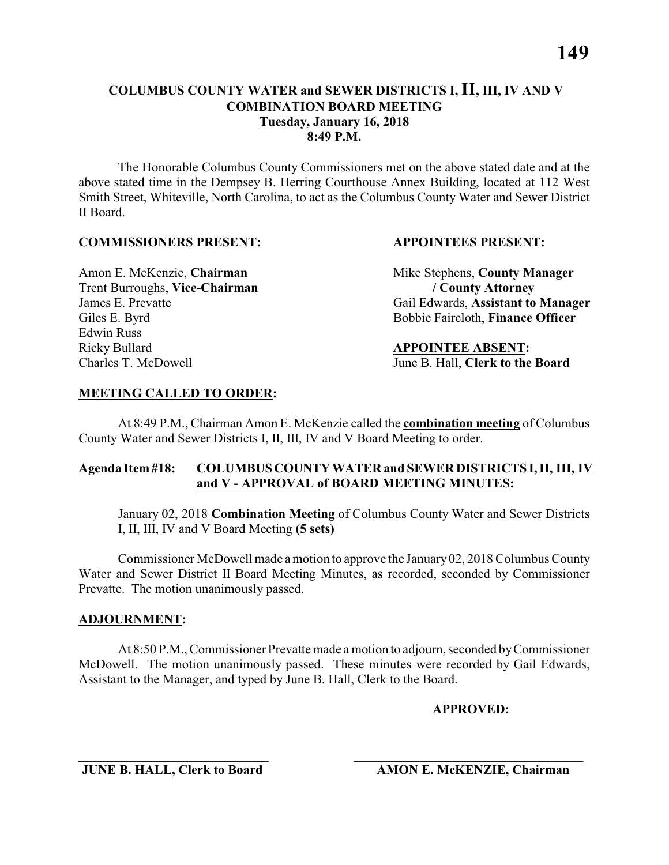# **COLUMBUS COUNTY WATER and SEWER DISTRICTS I, II, III, IV AND V COMBINATION BOARD MEETING Tuesday, January 16, 2018 8:49 P.M.**

The Honorable Columbus County Commissioners met on the above stated date and at the above stated time in the Dempsey B. Herring Courthouse Annex Building, located at 112 West Smith Street, Whiteville, North Carolina, to act as the Columbus County Water and Sewer District II Board.

### **COMMISSIONERS PRESENT: APPOINTEES PRESENT:**

Trent Burroughs, **Vice-Chairman / County Attorney** Edwin Russ Ricky Bullard **APPOINTEE ABSENT:** Charles T. McDowell June B. Hall, **Clerk to the Board**

Amon E. McKenzie, **Chairman** Mike Stephens, **County Manager** James E. Prevatte Gail Edwards, **Assistant to Manager** Giles E. Byrd Bobbie Faircloth, **Finance Officer** 

## **MEETING CALLED TO ORDER:**

At 8:49 P.M., Chairman Amon E. McKenzie called the **combination meeting** of Columbus County Water and Sewer Districts I, II, III, IV and V Board Meeting to order.

# **Agenda Item #18: COLUMBUS COUNTY WATER and SEWER DISTRICTS I, II, III, IV and V - APPROVAL of BOARD MEETING MINUTES:**

January 02, 2018 **Combination Meeting** of Columbus County Water and Sewer Districts I, II, III, IV and V Board Meeting **(5 sets)**

Commissioner McDowell made amotion to approve the January 02, 2018 Columbus County Water and Sewer District II Board Meeting Minutes, as recorded, seconded by Commissioner Prevatte. The motion unanimously passed.

#### **ADJOURNMENT:**

At 8:50 P.M., Commissioner Prevatte made a motion to adjourn, seconded by Commissioner McDowell. The motion unanimously passed. These minutes were recorded by Gail Edwards, Assistant to the Manager, and typed by June B. Hall, Clerk to the Board.

#### **APPROVED:**

 $\overline{\phantom{a}}$  , and the contribution of the contribution of the contribution of the contribution of the contribution of the contribution of the contribution of the contribution of the contribution of the contribution of the **JUNE B. HALL, Clerk to Board AMON E. McKENZIE, Chairman**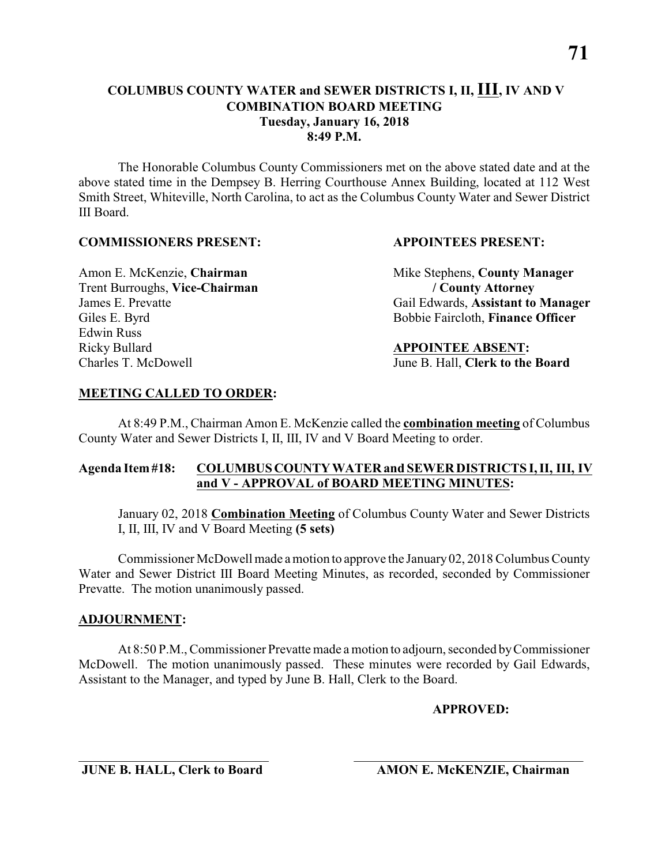# **COLUMBUS COUNTY WATER and SEWER DISTRICTS I, II, III, IV AND V COMBINATION BOARD MEETING Tuesday, January 16, 2018 8:49 P.M.**

The Honorable Columbus County Commissioners met on the above stated date and at the above stated time in the Dempsey B. Herring Courthouse Annex Building, located at 112 West Smith Street, Whiteville, North Carolina, to act as the Columbus County Water and Sewer District III Board.

#### **COMMISSIONERS PRESENT: APPOINTEES PRESENT:**

Trent Burroughs, **Vice-Chairman / County Attorney** Edwin Russ Ricky Bullard **APPOINTEE ABSENT:** Charles T. McDowell June B. Hall, **Clerk to the Board**

Amon E. McKenzie, **Chairman** Mike Stephens, **County Manager** James E. Prevatte Gail Edwards, **Assistant to Manager** Giles E. Byrd Bobbie Faircloth, **Finance Officer** 

# **MEETING CALLED TO ORDER:**

At 8:49 P.M., Chairman Amon E. McKenzie called the **combination meeting** of Columbus County Water and Sewer Districts I, II, III, IV and V Board Meeting to order.

# **Agenda Item #18: COLUMBUS COUNTY WATER and SEWER DISTRICTS I, II, III, IV and V - APPROVAL of BOARD MEETING MINUTES:**

January 02, 2018 **Combination Meeting** of Columbus County Water and Sewer Districts I, II, III, IV and V Board Meeting **(5 sets)**

Commissioner McDowell made amotion to approve the January 02, 2018 Columbus County Water and Sewer District III Board Meeting Minutes, as recorded, seconded by Commissioner Prevatte. The motion unanimously passed.

# **ADJOURNMENT:**

At 8:50 P.M., Commissioner Prevatte made a motion to adjourn, seconded by Commissioner McDowell. The motion unanimously passed. These minutes were recorded by Gail Edwards, Assistant to the Manager, and typed by June B. Hall, Clerk to the Board.

# **APPROVED:**

**JUNE B. HALL, Clerk to Board AMON E. McKENZIE, Chairman**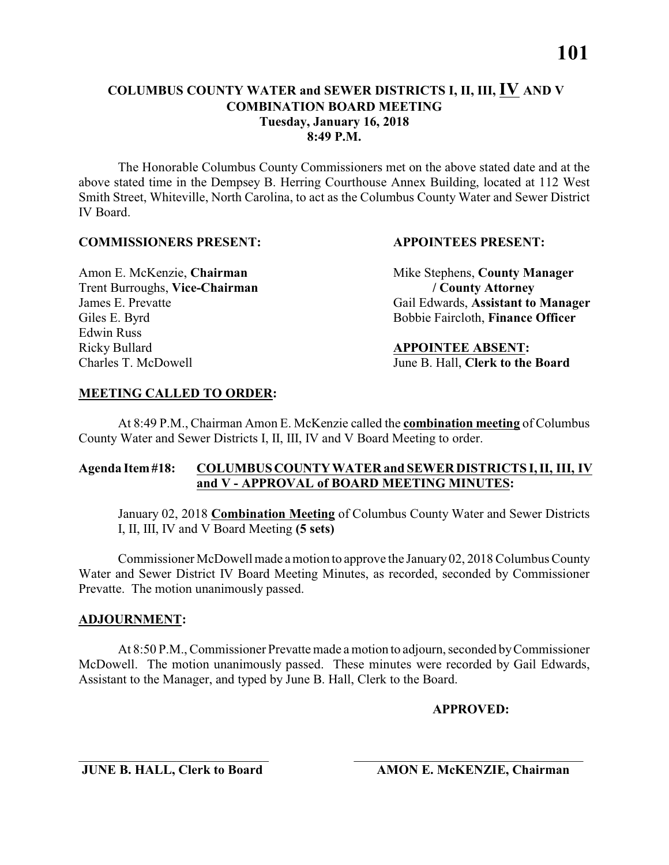The Honorable Columbus County Commissioners met on the above stated date and at the above stated time in the Dempsey B. Herring Courthouse Annex Building, located at 112 West Smith Street, Whiteville, North Carolina, to act as the Columbus County Water and Sewer District IV Board.

## **COMMISSIONERS PRESENT: APPOINTEES PRESENT:**

Trent Burroughs, **Vice-Chairman / County Attorney** Edwin Russ Ricky Bullard **APPOINTEE ABSENT:** Charles T. McDowell June B. Hall, **Clerk to the Board**

Amon E. McKenzie, **Chairman** Mike Stephens, **County Manager** James E. Prevatte Gail Edwards, **Assistant to Manager** Giles E. Byrd Bobbie Faircloth, **Finance Officer** 

# **MEETING CALLED TO ORDER:**

At 8:49 P.M., Chairman Amon E. McKenzie called the **combination meeting** of Columbus County Water and Sewer Districts I, II, III, IV and V Board Meeting to order.

# **Agenda Item #18: COLUMBUS COUNTY WATER and SEWER DISTRICTS I, II, III, IV and V - APPROVAL of BOARD MEETING MINUTES:**

January 02, 2018 **Combination Meeting** of Columbus County Water and Sewer Districts I, II, III, IV and V Board Meeting **(5 sets)**

Commissioner McDowell made amotion to approve the January 02, 2018 Columbus County Water and Sewer District IV Board Meeting Minutes, as recorded, seconded by Commissioner Prevatte. The motion unanimously passed.

# **ADJOURNMENT:**

At 8:50 P.M., Commissioner Prevatte made a motion to adjourn, seconded by Commissioner McDowell. The motion unanimously passed. These minutes were recorded by Gail Edwards, Assistant to the Manager, and typed by June B. Hall, Clerk to the Board.

# **APPROVED:**

 $\overline{\phantom{a}}$  , and the contribution of the contribution of the contribution of the contribution of the contribution of the contribution of the contribution of the contribution of the contribution of the contribution of the **JUNE B. HALL, Clerk to Board AMON E. McKENZIE, Chairman**